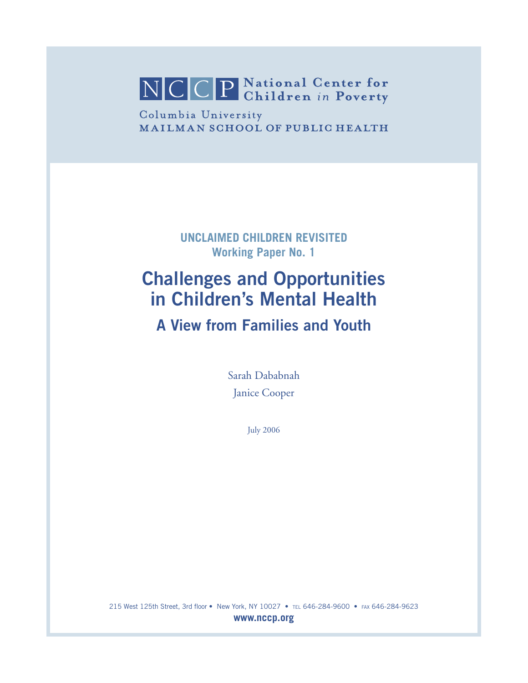NCCP National Center for

Columbia University **MAILMAN SCHOOL OF PUBLIC HEALTH** 

> **UNCLAIMED CHILDREN REVISITED Working Paper No. 1**

# **Challenges and Opportunities in Children's Mental Health**

**A View from Families and Youth**

Sarah Dababnah Janice Cooper

July 2006

215 West 125th Street, 3rd floor • New York, NY 10027 • TEL 646-284-9600 • FAX 646-284-9623 **www.nccp.org**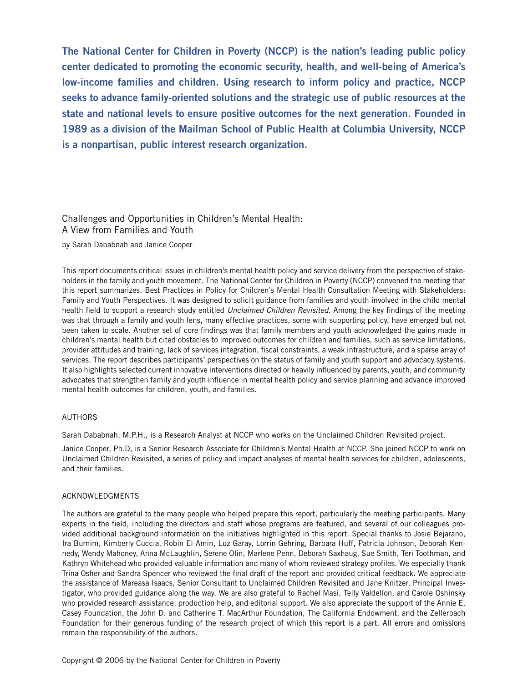**The National Center for Children in Poverty (NCCP) is the nation's leading public policy center dedicated to promoting the economic security, health, and well-being of America's low-income families and children. Using research to inform policy and practice, NCCP seeks to advance family-oriented solutions and the strategic use of public resources at the state and national levels to ensure positive outcomes for the next generation. Founded in 1989 as a division of the Mailman School of Public Health at Columbia University, NCCP is a nonpartisan, public interest research organization.**

## Challenges and Opportunities in Children's Mental Health: A View from Families and Youth

by Sarah Dababnah and Janice Cooper

This report documents critical issues in children's mental health policy and service delivery from the perspective of stakeholders in the family and youth movement. The National Center for Children in Poverty (NCCP) convened the meeting that this report summarizes, Best Practices in Policy for Children's Mental Health Consultation Meeting with Stakeholders: Family and Youth Perspectives. It was designed to solicit guidance from families and youth involved in the child mental health field to support a research study entitled Unclaimed Children Revisited. Among the key findings of the meeting was that through a family and youth lens, many effective practices, some with supporting policy, have emerged but not been taken to scale. Another set of core findings was that family members and youth acknowledged the gains made in children's mental health but cited obstacles to improved outcomes for children and families, such as service limitations, provider attitudes and training, lack of services integration, fiscal constraints, a weak infrastructure, and a sparse array of services. The report describes participants' perspectives on the status of family and youth support and advocacy systems. It also highlights selected current innovative interventions directed or heavily influenced by parents, youth, and community advocates that strengthen family and youth influence in mental health policy and service planning and advance improved mental health outcomes for children, youth, and families.

#### AUTHORS

Sarah Dababnah, M.P.H., is a Research Analyst at NCCP who works on the Unclaimed Children Revisited project.

Janice Cooper, Ph.D, is a Senior Research Associate for Children's Mental Health at NCCP. She joined NCCP to work on Unclaimed Children Revisited, a series of policy and impact analyses of mental health services for children, adolescents, and their families.

#### ACKNOWLEDGMENTS

The authors are grateful to the many people who helped prepare this report, particularly the meeting participants. Many experts in the field, including the directors and staff whose programs are featured, and several of our colleagues provided additional background information on the initiatives highlighted in this report. Special thanks to Josie Bejarano, Ira Burnim, Kimberly Cuccia, Robin El-Amin, Luz Garay, Lorrin Gehring, Barbara Huff, Patricia Johnson, Deborah Kennedy, Wendy Mahoney, Anna McLaughlin, Serene Olin, Marlene Penn, Deborah Saxhaug, Sue Smith, Teri Toothman, and Kathryn Whitehead who provided valuable information and many of whom reviewed strategy profiles. We especially thank Trina Osher and Sandra Spencer who reviewed the final draft of the report and provided critical feedback. We appreciate the assistance of Mareasa Isaacs, Senior Consultant to Unclaimed Children Revisited and Jane Knitzer, Principal Investigator, who provided guidance along the way. We are also grateful to Rachel Masi, Telly Valdellon, and Carole Oshinsky who provided research assistance, production help, and editorial support. We also appreciate the support of the Annie E. Casey Foundation, the John D. and Catherine T. MacArthur Foundation, The California Endowment, and the Zellerbach Foundation for their generous funding of the research project of which this report is a part. All errors and omissions remain the responsibility of the authors.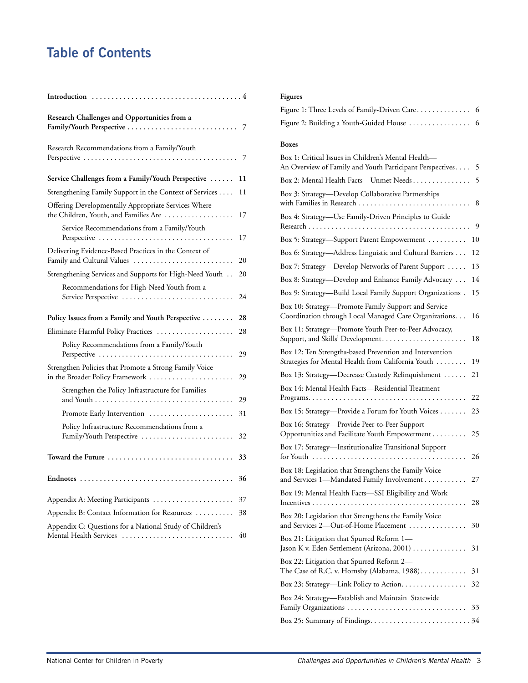# **Table of Contents**

| Research Challenges and Opportunities from a                                                 | 7  |
|----------------------------------------------------------------------------------------------|----|
| Research Recommendations from a Family/Youth                                                 | 7  |
| Service Challenges from a Family/Youth Perspective                                           | 11 |
| Strengthening Family Support in the Context of Services                                      | 11 |
| Offering Developmentally Appropriate Services Where<br>the Children, Youth, and Families Are | 17 |
| Service Recommendations from a Family/Youth<br>Perspective                                   | 17 |
| Delivering Evidence-Based Practices in the Context of<br>Family and Cultural Values          | 20 |
| Strengthening Services and Supports for High-Need Youth                                      | 20 |
| Recommendations for High-Need Youth from a<br>Service Perspective                            | 24 |
| Policy Issues from a Family and Youth Perspective                                            | 28 |
| Eliminate Harmful Policy Practices                                                           | 28 |
| Policy Recommendations from a Family/Youth<br>Perspective                                    | 29 |
| Strengthen Policies that Promote a Strong Family Voice<br>in the Broader Policy Framework    | 29 |
| Strengthen the Policy Infrastructure for Families                                            | 29 |
| Promote Early Intervention                                                                   | 31 |
| Policy Infrastructure Recommendations from a<br>Family/Youth Perspective                     | 32 |
| Toward the Future                                                                            | 33 |
|                                                                                              | 36 |
| Appendix A: Meeting Participants                                                             | 37 |
| Appendix B: Contact Information for Resources                                                | 38 |
| Appendix C: Questions for a National Study of Children's<br>Mental Health Services           | 40 |

### **Figures**

| Figure 1: Three Levels of Family-Driven Care 6 |  |
|------------------------------------------------|--|
| Figure 2: Building a Youth-Guided House  6     |  |

#### **Boxes**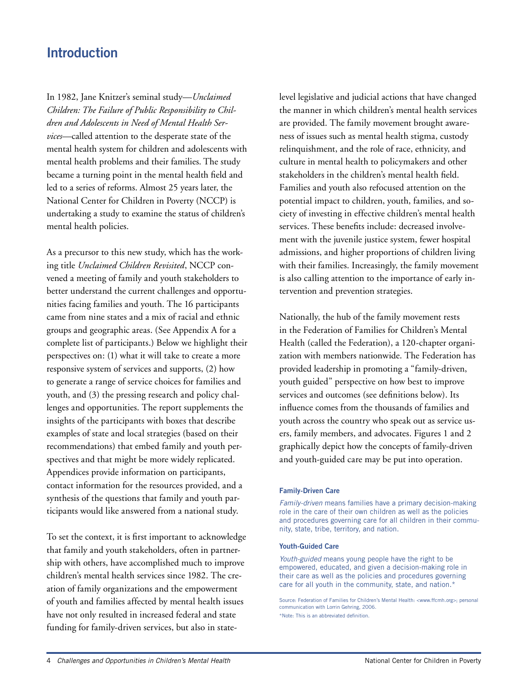## **Introduction**

In 1982, Jane Knitzer's seminal study—*Unclaimed Children: The Failure of Public Responsibility to Children and Adolescents in Need of Mental Health Services*—called attention to the desperate state of the mental health system for children and adolescents with mental health problems and their families. The study became a turning point in the mental health field and led to a series of reforms. Almost 25 years later, the National Center for Children in Poverty (NCCP) is undertaking a study to examine the status of children's mental health policies.

As a precursor to this new study, which has the working title *Unclaimed Children Revisited*, NCCP convened a meeting of family and youth stakeholders to better understand the current challenges and opportunities facing families and youth. The 16 participants came from nine states and a mix of racial and ethnic groups and geographic areas. (See Appendix A for a complete list of participants.) Below we highlight their perspectives on: (1) what it will take to create a more responsive system of services and supports, (2) how to generate a range of service choices for families and youth, and (3) the pressing research and policy challenges and opportunities. The report supplements the insights of the participants with boxes that describe examples of state and local strategies (based on their recommendations) that embed family and youth perspectives and that might be more widely replicated. Appendices provide information on participants, contact information for the resources provided, and a synthesis of the questions that family and youth participants would like answered from a national study.

To set the context, it is first important to acknowledge that family and youth stakeholders, often in partnership with others, have accomplished much to improve children's mental health services since 1982. The creation of family organizations and the empowerment of youth and families affected by mental health issues have not only resulted in increased federal and state funding for family-driven services, but also in statelevel legislative and judicial actions that have changed the manner in which children's mental health services are provided. The family movement brought awareness of issues such as mental health stigma, custody relinquishment, and the role of race, ethnicity, and culture in mental health to policymakers and other stakeholders in the children's mental health field. Families and youth also refocused attention on the potential impact to children, youth, families, and society of investing in effective children's mental health services. These benefits include: decreased involvement with the juvenile justice system, fewer hospital admissions, and higher proportions of children living with their families. Increasingly, the family movement is also calling attention to the importance of early intervention and prevention strategies.

Nationally, the hub of the family movement rests in the Federation of Families for Children's Mental Health (called the Federation), a 120-chapter organization with members nationwide. The Federation has provided leadership in promoting a "family-driven, youth guided" perspective on how best to improve services and outcomes (see definitions below). Its influence comes from the thousands of families and youth across the country who speak out as service users, family members, and advocates. Figures 1 and 2 graphically depict how the concepts of family-driven and youth-guided care may be put into operation.

#### **Family-Driven Care**

Family-driven means families have a primary decision-making role in the care of their own children as well as the policies and procedures governing care for all children in their community, state, tribe, territory, and nation.

#### **Youth-Guided Care**

Youth-guided means young people have the right to be empowered, educated, and given a decision-making role in their care as well as the policies and procedures governing care for all youth in the community, state, and nation.\*

Source: Federation of Families for Children's Mental Health: <www.ffcmh.org>; personal communication with Lorrin Gehring, 2006. \*Note: This is an abbreviated definition.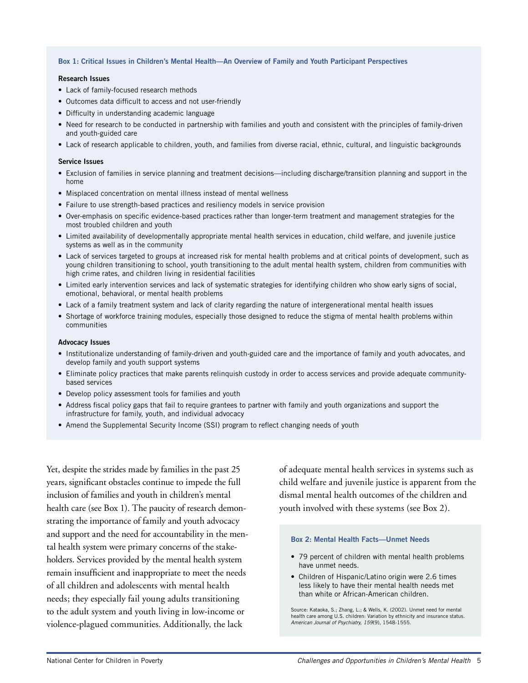#### **Box 1: Critical Issues in Children's Mental Health—An Overview of Family and Youth Participant Perspectives**

#### **Research Issues**

- Lack of family-focused research methods
- Outcomes data difficult to access and not user-friendly
- Difficulty in understanding academic language
- Need for research to be conducted in partnership with families and youth and consistent with the principles of family-driven and youth-guided care
- Lack of research applicable to children, youth, and families from diverse racial, ethnic, cultural, and linguistic backgrounds

#### **Service Issues**

- Exclusion of families in service planning and treatment decisions—including discharge/transition planning and support in the home
- Misplaced concentration on mental illness instead of mental wellness
- Failure to use strength-based practices and resiliency models in service provision
- Over-emphasis on specific evidence-based practices rather than longer-term treatment and management strategies for the most troubled children and youth
- Limited availability of developmentally appropriate mental health services in education, child welfare, and juvenile justice systems as well as in the community
- Lack of services targeted to groups at increased risk for mental health problems and at critical points of development, such as young children transitioning to school, youth transitioning to the adult mental health system, children from communities with high crime rates, and children living in residential facilities
- Limited early intervention services and lack of systematic strategies for identifying children who show early signs of social, emotional, behavioral, or mental health problems
- Lack of a family treatment system and lack of clarity regarding the nature of intergenerational mental health issues
- Shortage of workforce training modules, especially those designed to reduce the stigma of mental health problems within communities

#### **Advocacy Issues**

- Institutionalize understanding of family-driven and youth-guided care and the importance of family and youth advocates, and develop family and youth support systems
- Eliminate policy practices that make parents relinquish custody in order to access services and provide adequate communitybased services
- Develop policy assessment tools for families and youth
- Address fiscal policy gaps that fail to require grantees to partner with family and youth organizations and support the infrastructure for family, youth, and individual advocacy
- Amend the Supplemental Security Income (SSI) program to reflect changing needs of youth

Yet, despite the strides made by families in the past 25 years, significant obstacles continue to impede the full inclusion of families and youth in children's mental health care (see Box 1). The paucity of research demonstrating the importance of family and youth advocacy and support and the need for accountability in the mental health system were primary concerns of the stakeholders. Services provided by the mental health system remain insufficient and inappropriate to meet the needs of all children and adolescents with mental health needs; they especially fail young adults transitioning to the adult system and youth living in low-income or violence-plagued communities. Additionally, the lack

of adequate mental health services in systems such as child welfare and juvenile justice is apparent from the dismal mental health outcomes of the children and youth involved with these systems (see Box 2).

#### **Box 2: Mental Health Facts—Unmet Needs**

- 79 percent of children with mental health problems have unmet needs.
- Children of Hispanic/Latino origin were 2.6 times less likely to have their mental health needs met than white or African-American children.

Source: Kataoka, S.; Zhang, L.; & Wells, K. (2002). Unmet need for mental health care among U.S. children: Variation by ethnicity and insurance status. American Journal of Psychiatry, 159(9), 1548-1555.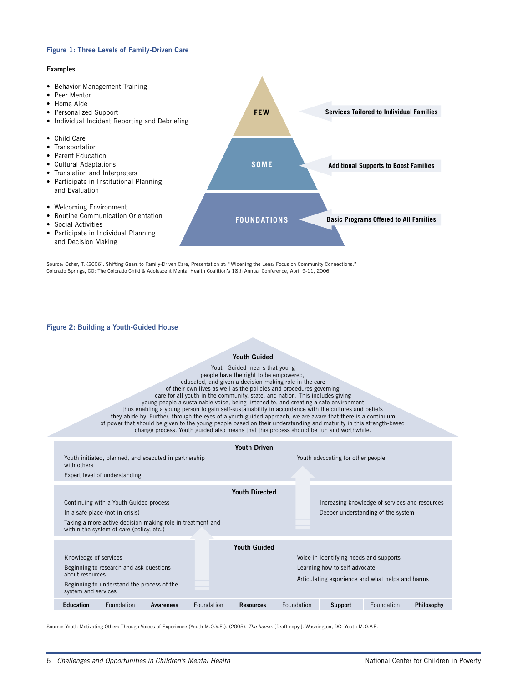#### **Figure 1: Three Levels of Family-Driven Care**

#### **Examples**

• Behavior Management Training • Peer Mentor • Home Aide • Personalized Support • Individual Incident Reporting and Debriefing • Child Care • Transportation • Parent Education • Cultural Adaptations • Translation and Interpreters • Participate in Institutional Planning and Evaluation • Welcoming Environment • Routine Communication Orientation • Social Activities • Participate in Individual Planning and Decision Making **FEW SOME FOUNDATIONS Services Tailored to Individual Families Additional Supports to Boost Families Basic Programs Offered to All Families**

Source: Osher, T. (2006). Shifting Gears to Family-Driven Care, Presentation at: "Widening the Lens: Focus on Community Connections." Colorado Springs, CO: The Colorado Child & Adolescent Mental Health Coalition's 18th Annual Conference, April 9-11, 2006.

#### **Figure 2: Building a Youth-Guided House**

#### **Youth Guided**

| Youth Guided                                                                                                                                                                                                                                                                                                                                                                                                                                                                                                                                                                                                                                                                                                                                                                                                             |                                          |                  |            |                       |            |                                                                                      |            |            |  |  |  |
|--------------------------------------------------------------------------------------------------------------------------------------------------------------------------------------------------------------------------------------------------------------------------------------------------------------------------------------------------------------------------------------------------------------------------------------------------------------------------------------------------------------------------------------------------------------------------------------------------------------------------------------------------------------------------------------------------------------------------------------------------------------------------------------------------------------------------|------------------------------------------|------------------|------------|-----------------------|------------|--------------------------------------------------------------------------------------|------------|------------|--|--|--|
| Youth Guided means that young<br>people have the right to be empowered,<br>educated, and given a decision-making role in the care<br>of their own lives as well as the policies and procedures governing<br>care for all youth in the community, state, and nation. This includes giving<br>young people a sustainable voice, being listened to, and creating a safe environment<br>thus enabling a young person to gain self-sustainability in accordance with the cultures and beliefs<br>they abide by. Further, through the eyes of a youth-guided approach, we are aware that there is a continuum<br>of power that should be given to the young people based on their understanding and maturity in this strength-based<br>change process. Youth guided also means that this process should be fun and worthwhile. |                                          |                  |            |                       |            |                                                                                      |            |            |  |  |  |
| <b>Youth Driven</b>                                                                                                                                                                                                                                                                                                                                                                                                                                                                                                                                                                                                                                                                                                                                                                                                      |                                          |                  |            |                       |            |                                                                                      |            |            |  |  |  |
| Youth initiated, planned, and executed in partnership<br>with others                                                                                                                                                                                                                                                                                                                                                                                                                                                                                                                                                                                                                                                                                                                                                     |                                          |                  |            |                       |            | Youth advocating for other people                                                    |            |            |  |  |  |
|                                                                                                                                                                                                                                                                                                                                                                                                                                                                                                                                                                                                                                                                                                                                                                                                                          | Expert level of understanding            |                  |            |                       |            |                                                                                      |            |            |  |  |  |
|                                                                                                                                                                                                                                                                                                                                                                                                                                                                                                                                                                                                                                                                                                                                                                                                                          |                                          |                  |            | <b>Youth Directed</b> |            |                                                                                      |            |            |  |  |  |
| Continuing with a Youth-Guided process<br>In a safe place (not in crisis)<br>Taking a more active decision-making role in treatment and                                                                                                                                                                                                                                                                                                                                                                                                                                                                                                                                                                                                                                                                                  |                                          |                  |            |                       |            | Increasing knowledge of services and resources<br>Deeper understanding of the system |            |            |  |  |  |
|                                                                                                                                                                                                                                                                                                                                                                                                                                                                                                                                                                                                                                                                                                                                                                                                                          | within the system of care (policy, etc.) |                  |            |                       |            |                                                                                      |            |            |  |  |  |
| <b>Youth Guided</b><br>Knowledge of services<br>Voice in identifying needs and supports<br>Beginning to research and ask questions<br>Learning how to self advocate<br>about resources<br>Articulating experience and what helps and harms<br>Beginning to understand the process of the<br>system and services                                                                                                                                                                                                                                                                                                                                                                                                                                                                                                          |                                          |                  |            |                       |            |                                                                                      |            |            |  |  |  |
| <b>Education</b>                                                                                                                                                                                                                                                                                                                                                                                                                                                                                                                                                                                                                                                                                                                                                                                                         | Foundation                               | <b>Awareness</b> | Foundation | <b>Resources</b>      | Foundation | <b>Support</b>                                                                       | Foundation | Philosophy |  |  |  |
|                                                                                                                                                                                                                                                                                                                                                                                                                                                                                                                                                                                                                                                                                                                                                                                                                          |                                          |                  |            |                       |            |                                                                                      |            |            |  |  |  |

Source: Youth Motivating Others Through Voices of Experience (Youth M.O.V.E.). (2005). The house. [Draft copy.]. Washington, DC: Youth M.O.V.E.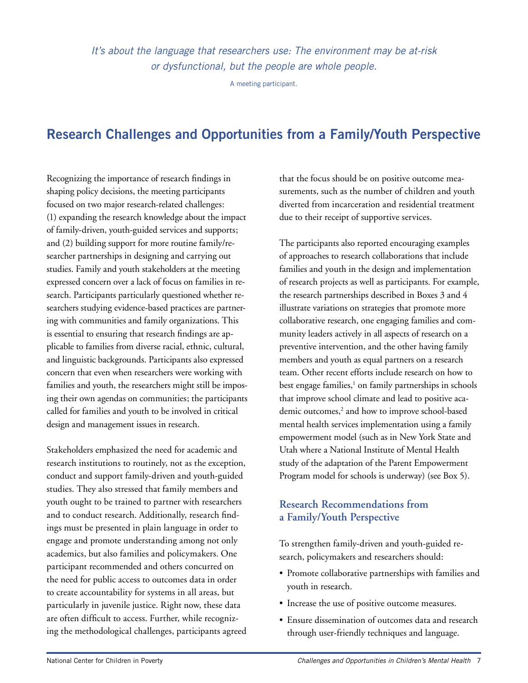It's about the language that researchers use: The environment may be at-risk or dysfunctional, but the people are whole people.

A meeting participant.

## **Research Challenges and Opportunities from a Family/Youth Perspective**

Recognizing the importance of research findings in shaping policy decisions, the meeting participants focused on two major research-related challenges: (1) expanding the research knowledge about the impact of family-driven, youth-guided services and supports; and (2) building support for more routine family/researcher partnerships in designing and carrying out studies. Family and youth stakeholders at the meeting expressed concern over a lack of focus on families in research. Participants particularly questioned whether researchers studying evidence-based practices are partnering with communities and family organizations. This is essential to ensuring that research findings are applicable to families from diverse racial, ethnic, cultural, and linguistic backgrounds. Participants also expressed concern that even when researchers were working with families and youth, the researchers might still be imposing their own agendas on communities; the participants called for families and youth to be involved in critical design and management issues in research.

Stakeholders emphasized the need for academic and research institutions to routinely, not as the exception, conduct and support family-driven and youth-guided studies. They also stressed that family members and youth ought to be trained to partner with researchers and to conduct research. Additionally, research findings must be presented in plain language in order to engage and promote understanding among not only academics, but also families and policymakers. One participant recommended and others concurred on the need for public access to outcomes data in order to create accountability for systems in all areas, but particularly in juvenile justice. Right now, these data are often difficult to access. Further, while recognizing the methodological challenges, participants agreed that the focus should be on positive outcome measurements, such as the number of children and youth diverted from incarceration and residential treatment due to their receipt of supportive services.

The participants also reported encouraging examples of approaches to research collaborations that include families and youth in the design and implementation of research projects as well as participants. For example, the research partnerships described in Boxes 3 and 4 illustrate variations on strategies that promote more collaborative research, one engaging families and community leaders actively in all aspects of research on a preventive intervention, and the other having family members and youth as equal partners on a research team. Other recent efforts include research on how to best engage families,<sup>1</sup> on family partnerships in schools that improve school climate and lead to positive academic outcomes,<sup>2</sup> and how to improve school-based mental health services implementation using a family empowerment model (such as in New York State and Utah where a National Institute of Mental Health study of the adaptation of the Parent Empowerment Program model for schools is underway) (see Box 5).

## **Research Recommendations from a Family/Youth Perspective**

To strengthen family-driven and youth-guided research, policymakers and researchers should:

- Promote collaborative partnerships with families and youth in research.
- Increase the use of positive outcome measures.
- Ensure dissemination of outcomes data and research through user-friendly techniques and language.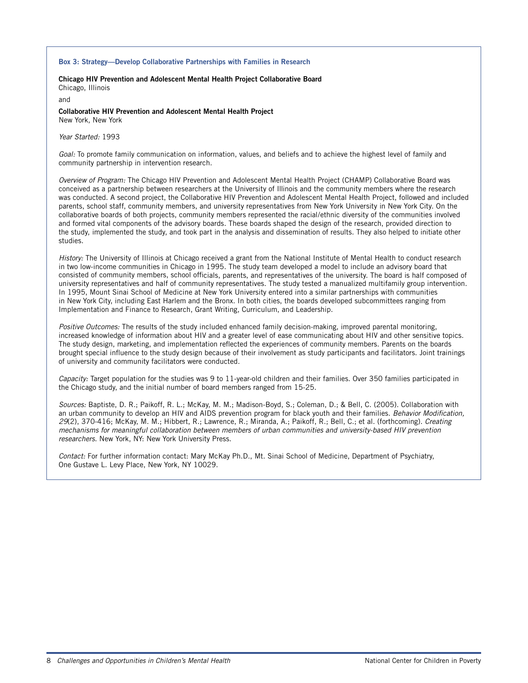#### **Box 3: Strategy—Develop Collaborative Partnerships with Families in Research**

**Chicago HIV Prevention and Adolescent Mental Health Project Collaborative Board** Chicago, Illinois

and

**Collaborative HIV Prevention and Adolescent Mental Health Project**  New York, New York

Year Started: 1993

Goal: To promote family communication on information, values, and beliefs and to achieve the highest level of family and community partnership in intervention research.

Overview of Program: The Chicago HIV Prevention and Adolescent Mental Health Project (CHAMP) Collaborative Board was conceived as a partnership between researchers at the University of Illinois and the community members where the research was conducted. A second project, the Collaborative HIV Prevention and Adolescent Mental Health Project, followed and included parents, school staff, community members, and university representatives from New York University in New York City. On the collaborative boards of both projects, community members represented the racial/ethnic diversity of the communities involved and formed vital components of the advisory boards. These boards shaped the design of the research, provided direction to the study, implemented the study, and took part in the analysis and dissemination of results. They also helped to initiate other studies.

History: The University of Illinois at Chicago received a grant from the National Institute of Mental Health to conduct research in two low-income communities in Chicago in 1995. The study team developed a model to include an advisory board that consisted of community members, school officials, parents, and representatives of the university. The board is half composed of university representatives and half of community representatives. The study tested a manualized multifamily group intervention. In 1995, Mount Sinai School of Medicine at New York University entered into a similar partnerships with communities in New York City, including East Harlem and the Bronx. In both cities, the boards developed subcommittees ranging from Implementation and Finance to Research, Grant Writing, Curriculum, and Leadership.

Positive Outcomes: The results of the study included enhanced family decision-making, improved parental monitoring, increased knowledge of information about HIV and a greater level of ease communicating about HIV and other sensitive topics. The study design, marketing, and implementation reflected the experiences of community members. Parents on the boards brought special influence to the study design because of their involvement as study participants and facilitators. Joint trainings of university and community facilitators were conducted.

Capacity: Target population for the studies was 9 to 11-year-old children and their families. Over 350 families participated in the Chicago study, and the initial number of board members ranged from 15-25.

Sources: Baptiste, D. R.; Paikoff, R. L.; McKay, M. M.; Madison-Boyd, S.; Coleman, D.; & Bell, C. (2005). Collaboration with an urban community to develop an HIV and AIDS prevention program for black youth and their families. Behavior Modification, 29(2), 370-416; McKay, M. M.; Hibbert, R.; Lawrence, R.; Miranda, A.; Paikoff, R.; Bell, C.; et al. (forthcoming). Creating mechanisms for meaningful collaboration between members of urban communities and university-based HIV prevention researchers. New York, NY: New York University Press.

Contact: For further information contact: Mary McKay Ph.D., Mt. Sinai School of Medicine, Department of Psychiatry, One Gustave L. Levy Place, New York, NY 10029.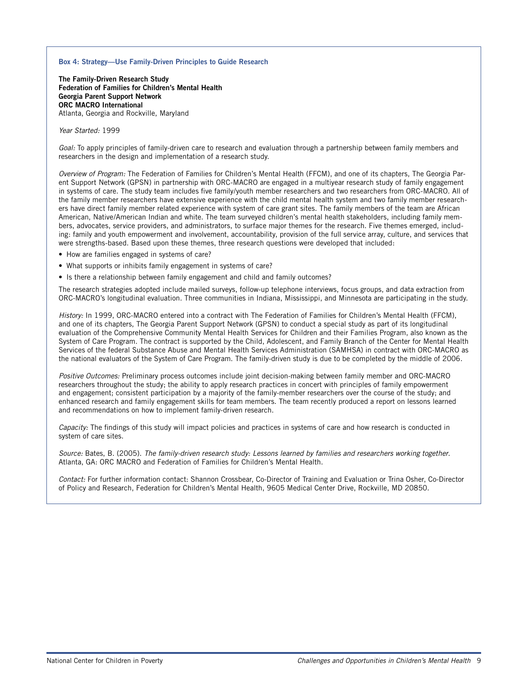#### **Box 4: Strategy—Use Family-Driven Principles to Guide Research**

**The Family-Driven Research Study Federation of Families for Children's Mental Health Georgia Parent Support Network ORC MACRO International** Atlanta, Georgia and Rockville, Maryland

#### Year Started: 1999

Goal: To apply principles of family-driven care to research and evaluation through a partnership between family members and researchers in the design and implementation of a research study.

Overview of Program: The Federation of Families for Children's Mental Health (FFCM), and one of its chapters, The Georgia Parent Support Network (GPSN) in partnership with ORC-MACRO are engaged in a multiyear research study of family engagement in systems of care. The study team includes five family/youth member researchers and two researchers from ORC-MACRO. All of the family member researchers have extensive experience with the child mental health system and two family member researchers have direct family member related experience with system of care grant sites. The family members of the team are African American, Native/American Indian and white. The team surveyed children's mental health stakeholders, including family members, advocates, service providers, and administrators, to surface major themes for the research. Five themes emerged, including: family and youth empowerment and involvement, accountability, provision of the full service array, culture, and services that were strengths-based. Based upon these themes, three research questions were developed that included:

- How are families engaged in systems of care?
- What supports or inhibits family engagement in systems of care?
- Is there a relationship between family engagement and child and family outcomes?

The research strategies adopted include mailed surveys, follow-up telephone interviews, focus groups, and data extraction from ORC-MACRO's longitudinal evaluation. Three communities in Indiana, Mississippi, and Minnesota are participating in the study.

History: In 1999, ORC-MACRO entered into a contract with The Federation of Families for Children's Mental Health (FFCM), and one of its chapters, The Georgia Parent Support Network (GPSN) to conduct a special study as part of its longitudinal evaluation of the Comprehensive Community Mental Health Services for Children and their Families Program, also known as the System of Care Program. The contract is supported by the Child, Adolescent, and Family Branch of the Center for Mental Health Services of the federal Substance Abuse and Mental Health Services Administration (SAMHSA) in contract with ORC-MACRO as the national evaluators of the System of Care Program. The family-driven study is due to be completed by the middle of 2006.

Positive Outcomes: Preliminary process outcomes include joint decision-making between family member and ORC-MACRO researchers throughout the study; the ability to apply research practices in concert with principles of family empowerment and engagement; consistent participation by a majority of the family-member researchers over the course of the study; and enhanced research and family engagement skills for team members. The team recently produced a report on lessons learned and recommendations on how to implement family-driven research.

Capacity: The findings of this study will impact policies and practices in systems of care and how research is conducted in system of care sites.

Source: Bates, B. (2005). The family-driven research study: Lessons learned by families and researchers working together. Atlanta, GA: ORC MACRO and Federation of Families for Children's Mental Health.

Contact: For further information contact: Shannon Crossbear, Co-Director of Training and Evaluation or Trina Osher, Co-Director of Policy and Research, Federation for Children's Mental Health, 9605 Medical Center Drive, Rockville, MD 20850.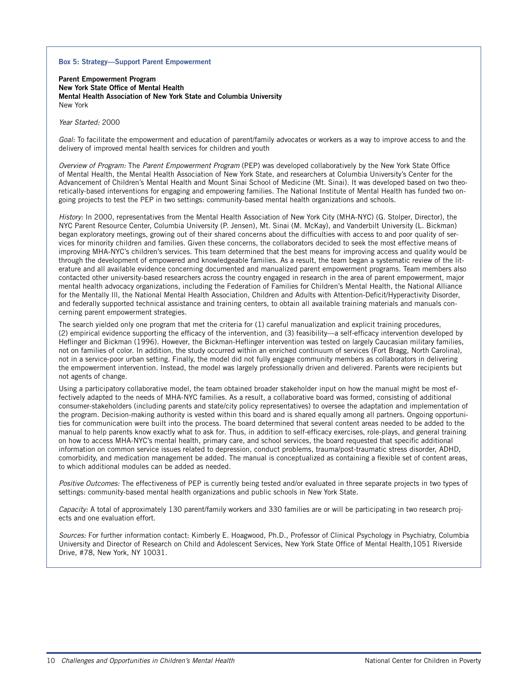#### **Box 5: Strategy—Support Parent Empowerment**

**Parent Empowerment Program New York State Office of Mental Health Mental Health Association of New York State and Columbia University** New York

Year Started: 2000

Goal: To facilitate the empowerment and education of parent/family advocates or workers as a way to improve access to and the delivery of improved mental health services for children and youth

Overview of Program: The Parent Empowerment Program (PEP) was developed collaboratively by the New York State Office of Mental Health, the Mental Health Association of New York State, and researchers at Columbia University's Center for the Advancement of Children's Mental Health and Mount Sinai School of Medicine (Mt. Sinai). It was developed based on two theoretically-based interventions for engaging and empowering families. The National Institute of Mental Health has funded two ongoing projects to test the PEP in two settings: community-based mental health organizations and schools.

History: In 2000, representatives from the Mental Health Association of New York City (MHA-NYC) (G. Stolper, Director), the NYC Parent Resource Center, Columbia University (P. Jensen), Mt. Sinai (M. McKay), and Vanderbilt University (L. Bickman) began exploratory meetings, growing out of their shared concerns about the difficulties with access to and poor quality of services for minority children and families. Given these concerns, the collaborators decided to seek the most effective means of improving MHA-NYC's children's services. This team determined that the best means for improving access and quality would be through the development of empowered and knowledgeable families. As a result, the team began a systematic review of the literature and all available evidence concerning documented and manualized parent empowerment programs. Team members also contacted other university-based researchers across the country engaged in research in the area of parent empowerment, major mental health advocacy organizations, including the Federation of Families for Children's Mental Health, the National Alliance for the Mentally Ill, the National Mental Health Association, Children and Adults with Attention-Deficit/Hyperactivity Disorder, and federally supported technical assistance and training centers, to obtain all available training materials and manuals concerning parent empowerment strategies.

The search yielded only one program that met the criteria for (1) careful manualization and explicit training procedures, (2) empirical evidence supporting the efficacy of the intervention, and (3) feasibility—a self-efficacy intervention developed by Heflinger and Bickman (1996). However, the Bickman-Heflinger intervention was tested on largely Caucasian military families, not on families of color. In addition, the study occurred within an enriched continuum of services (Fort Bragg, North Carolina), not in a service-poor urban setting. Finally, the model did not fully engage community members as collaborators in delivering the empowerment intervention. Instead, the model was largely professionally driven and delivered. Parents were recipients but not agents of change.

Using a participatory collaborative model, the team obtained broader stakeholder input on how the manual might be most effectively adapted to the needs of MHA-NYC families. As a result, a collaborative board was formed, consisting of additional consumer-stakeholders (including parents and state/city policy representatives) to oversee the adaptation and implementation of the program. Decision-making authority is vested within this board and is shared equally among all partners. Ongoing opportunities for communication were built into the process. The board determined that several content areas needed to be added to the manual to help parents know exactly what to ask for. Thus, in addition to self-efficacy exercises, role-plays, and general training on how to access MHA-NYC's mental health, primary care, and school services, the board requested that specific additional information on common service issues related to depression, conduct problems, trauma/post-traumatic stress disorder, ADHD, comorbidity, and medication management be added. The manual is conceptualized as containing a flexible set of content areas, to which additional modules can be added as needed.

Positive Outcomes: The effectiveness of PEP is currently being tested and/or evaluated in three separate projects in two types of settings: community-based mental health organizations and public schools in New York State.

Capacity: A total of approximately 130 parent/family workers and 330 families are or will be participating in two research projects and one evaluation effort.

Sources: For further information contact: Kimberly E. Hoagwood, Ph.D., Professor of Clinical Psychology in Psychiatry, Columbia University and Director of Research on Child and Adolescent Services, New York State Office of Mental Health,1051 Riverside Drive, #78, New York, NY 10031.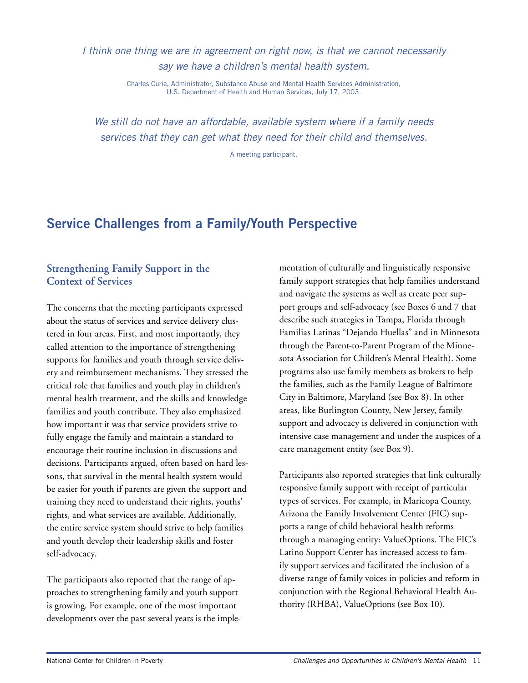I think one thing we are in agreement on right now, is that we cannot necessarily say we have a children's mental health system.

> Charles Curie, Administrator, Substance Abuse and Mental Health Services Administration, U.S. Department of Health and Human Services, July 17, 2003.

We still do not have an affordable, available system where if a family needs services that they can get what they need for their child and themselves.

A meeting participant.

## **Service Challenges from a Family/Youth Perspective**

## **Strengthening Family Support in the Context of Services**

The concerns that the meeting participants expressed about the status of services and service delivery clustered in four areas. First, and most importantly, they called attention to the importance of strengthening supports for families and youth through service delivery and reimbursement mechanisms. They stressed the critical role that families and youth play in children's mental health treatment, and the skills and knowledge families and youth contribute. They also emphasized how important it was that service providers strive to fully engage the family and maintain a standard to encourage their routine inclusion in discussions and decisions. Participants argued, often based on hard lessons, that survival in the mental health system would be easier for youth if parents are given the support and training they need to understand their rights, youths' rights, and what services are available. Additionally, the entire service system should strive to help families and youth develop their leadership skills and foster self-advocacy.

The participants also reported that the range of approaches to strengthening family and youth support is growing. For example, one of the most important developments over the past several years is the implementation of culturally and linguistically responsive family support strategies that help families understand and navigate the systems as well as create peer support groups and self-advocacy (see Boxes 6 and 7 that describe such strategies in Tampa, Florida through Familias Latinas "Dejando Huellas" and in Minnesota through the Parent-to-Parent Program of the Minnesota Association for Children's Mental Health). Some programs also use family members as brokers to help the families, such as the Family League of Baltimore City in Baltimore, Maryland (see Box 8). In other areas, like Burlington County, New Jersey, family support and advocacy is delivered in conjunction with intensive case management and under the auspices of a care management entity (see Box 9).

Participants also reported strategies that link culturally responsive family support with receipt of particular types of services. For example, in Maricopa County, Arizona the Family Involvement Center (FIC) supports a range of child behavioral health reforms through a managing entity: ValueOptions. The FIC's Latino Support Center has increased access to family support services and facilitated the inclusion of a diverse range of family voices in policies and reform in conjunction with the Regional Behavioral Health Authority (RHBA), ValueOptions (see Box 10).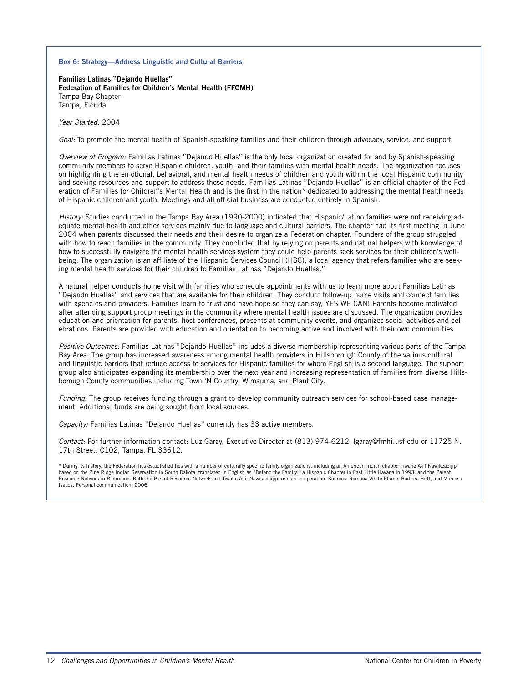#### **Box 6: Strategy—Address Linguistic and Cultural Barriers**

**Familias Latinas "Dejando Huellas" Federation of Families for Children's Mental Health (FFCMH)** Tampa Bay Chapter Tampa, Florida

Year Started: 2004

Goal: To promote the mental health of Spanish-speaking families and their children through advocacy, service, and support

Overview of Program: Familias Latinas "Dejando Huellas" is the only local organization created for and by Spanish-speaking community members to serve Hispanic children, youth, and their families with mental health needs. The organization focuses on highlighting the emotional, behavioral, and mental health needs of children and youth within the local Hispanic community and seeking resources and support to address those needs. Familias Latinas "Dejando Huellas" is an official chapter of the Federation of Families for Children's Mental Health and is the first in the nation\* dedicated to addressing the mental health needs of Hispanic children and youth. Meetings and all official business are conducted entirely in Spanish.

History: Studies conducted in the Tampa Bay Area (1990-2000) indicated that Hispanic/Latino families were not receiving adequate mental health and other services mainly due to language and cultural barriers. The chapter had its first meeting in June 2004 when parents discussed their needs and their desire to organize a Federation chapter. Founders of the group struggled with how to reach families in the community. They concluded that by relying on parents and natural helpers with knowledge of how to successfully navigate the mental health services system they could help parents seek services for their children's wellbeing. The organization is an affiliate of the Hispanic Services Council (HSC), a local agency that refers families who are seeking mental health services for their children to Familias Latinas "Dejando Huellas."

A natural helper conducts home visit with families who schedule appointments with us to learn more about Familias Latinas "Dejando Huellas" and services that are available for their children. They conduct follow-up home visits and connect families with agencies and providers. Families learn to trust and have hope so they can say, YES WE CAN! Parents become motivated after attending support group meetings in the community where mental health issues are discussed. The organization provides education and orientation for parents, host conferences, presents at community events, and organizes social activities and celebrations. Parents are provided with education and orientation to becoming active and involved with their own communities.

Positive Outcomes: Familias Latinas "Dejando Huellas" includes a diverse membership representing various parts of the Tampa Bay Area. The group has increased awareness among mental health providers in Hillsborough County of the various cultural and linguistic barriers that reduce access to services for Hispanic families for whom English is a second language. The support group also anticipates expanding its membership over the next year and increasing representation of families from diverse Hillsborough County communities including Town 'N Country, Wimauma, and Plant City.

Funding: The group receives funding through a grant to develop community outreach services for school-based case management. Additional funds are being sought from local sources.

Capacity: Familias Latinas "Dejando Huellas" currently has 33 active members.

Contact: For further information contact: Luz Garay, Executive Director at (813) 974-6212, lgaray@fmhi.usf.edu or 11725 N. 17th Street, C102, Tampa, FL 33612.

\* During its history, the Federation has established ties with a number of culturally specific family organizations, including an American Indian chapter Tiwahe Akil Nawikcacijipi based on the Pine Ridge Indian Reservation in South Dakota, translated in English as "Defend the Family," a Hispanic Chapter in East Little Havana in 1993, and the Parent Resource Network in Richmond. Both the Parent Resource Network and Tiwahe Akil Nawikcacijipi remain in operation. Sources: Ramona White Plume, Barbara Huff, and Mareasa Isaacs. Personal communication, 2006.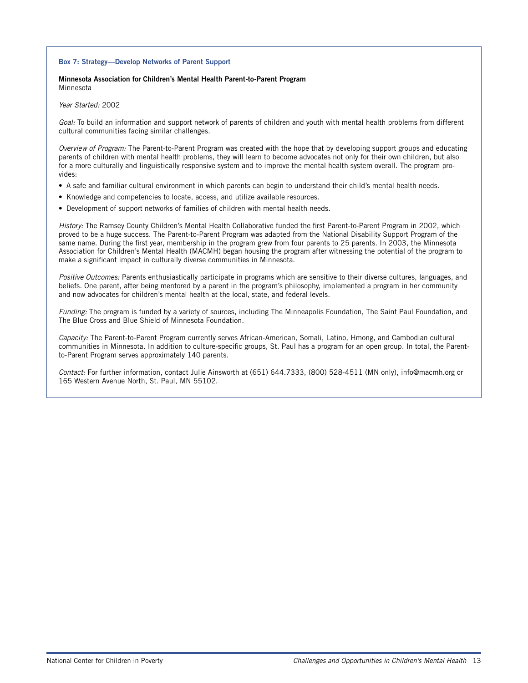#### **Box 7: Strategy—Develop Networks of Parent Support**

#### **Minnesota Association for Children's Mental Health Parent-to-Parent Program** Minnesota

Year Started: 2002

Goal: To build an information and support network of parents of children and youth with mental health problems from different cultural communities facing similar challenges.

Overview of Program: The Parent-to-Parent Program was created with the hope that by developing support groups and educating parents of children with mental health problems, they will learn to become advocates not only for their own children, but also for a more culturally and linguistically responsive system and to improve the mental health system overall. The program provides:

- A safe and familiar cultural environment in which parents can begin to understand their child's mental health needs.
- Knowledge and competencies to locate, access, and utilize available resources.
- Development of support networks of families of children with mental health needs.

History: The Ramsey County Children's Mental Health Collaborative funded the first Parent-to-Parent Program in 2002, which proved to be a huge success. The Parent-to-Parent Program was adapted from the National Disability Support Program of the same name. During the first year, membership in the program grew from four parents to 25 parents. In 2003, the Minnesota Association for Children's Mental Health (MACMH) began housing the program after witnessing the potential of the program to make a significant impact in culturally diverse communities in Minnesota.

Positive Outcomes: Parents enthusiastically participate in programs which are sensitive to their diverse cultures, languages, and beliefs. One parent, after being mentored by a parent in the program's philosophy, implemented a program in her community and now advocates for children's mental health at the local, state, and federal levels.

Funding: The program is funded by a variety of sources, including The Minneapolis Foundation, The Saint Paul Foundation, and The Blue Cross and Blue Shield of Minnesota Foundation.

Capacity: The Parent-to-Parent Program currently serves African-American, Somali, Latino, Hmong, and Cambodian cultural communities in Minnesota. In addition to culture-specific groups, St. Paul has a program for an open group. In total, the Parentto-Parent Program serves approximately 140 parents.

Contact: For further information, contact Julie Ainsworth at (651) 644.7333, (800) 528-4511 (MN only), info@macmh.org or 165 Western Avenue North, St. Paul, MN 55102.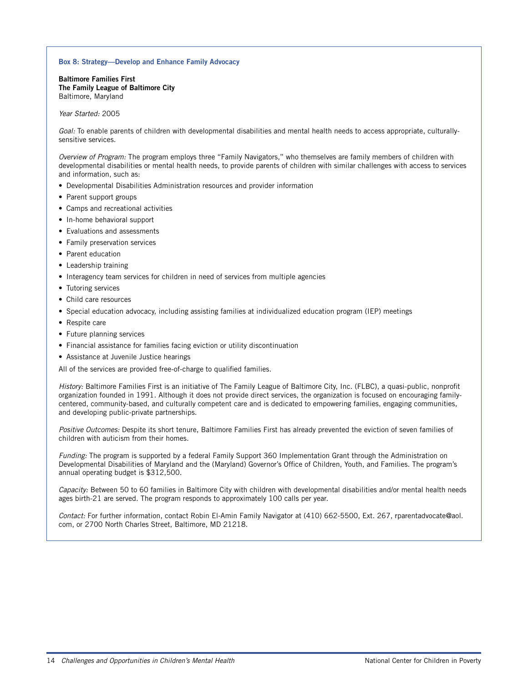#### **Box 8: Strategy—Develop and Enhance Family Advocacy**

**Baltimore Families First The Family League of Baltimore City**  Baltimore, Maryland

#### Year Started: 2005

Goal: To enable parents of children with developmental disabilities and mental health needs to access appropriate, culturallysensitive services.

Overview of Program: The program employs three "Family Navigators," who themselves are family members of children with developmental disabilities or mental health needs, to provide parents of children with similar challenges with access to services and information, such as:

- Developmental Disabilities Administration resources and provider information
- Parent support groups
- Camps and recreational activities
- In-home behavioral support
- Evaluations and assessments
- Family preservation services
- Parent education
- Leadership training
- Interagency team services for children in need of services from multiple agencies
- Tutoring services
- Child care resources
- Special education advocacy, including assisting families at individualized education program (IEP) meetings
- Respite care
- Future planning services
- Financial assistance for families facing eviction or utility discontinuation
- Assistance at Juvenile Justice hearings

All of the services are provided free-of-charge to qualified families.

History: Baltimore Families First is an initiative of The Family League of Baltimore City, Inc. (FLBC), a quasi-public, nonprofit organization founded in 1991. Although it does not provide direct services, the organization is focused on encouraging familycentered, community-based, and culturally competent care and is dedicated to empowering families, engaging communities, and developing public-private partnerships.

Positive Outcomes: Despite its short tenure, Baltimore Families First has already prevented the eviction of seven families of children with auticism from their homes.

Funding: The program is supported by a federal Family Support 360 Implementation Grant through the Administration on Developmental Disabilities of Maryland and the (Maryland) Governor's Office of Children, Youth, and Families. The program's annual operating budget is \$312,500.

Capacity: Between 50 to 60 families in Baltimore City with children with developmental disabilities and/or mental health needs ages birth-21 are served. The program responds to approximately 100 calls per year.

Contact: For further information, contact Robin El-Amin Family Navigator at (410) 662-5500, Ext. 267, rparentadvocate@aol. com, or 2700 North Charles Street, Baltimore, MD 21218.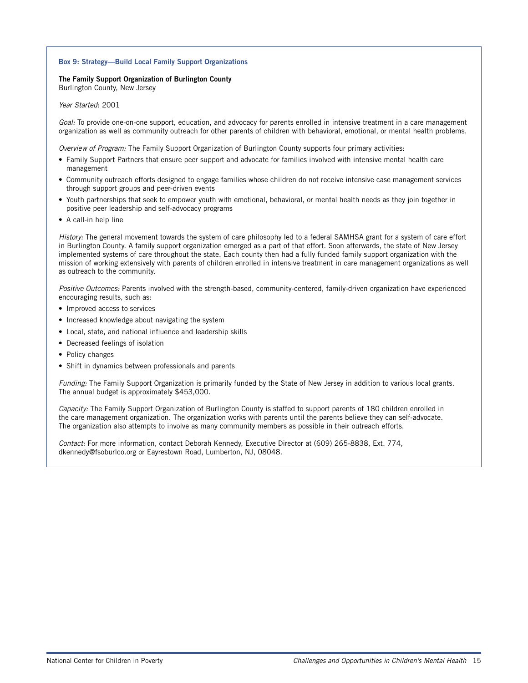#### **Box 9: Strategy—Build Local Family Support Organizations**

### **The Family Support Organization of Burlington County**

Burlington County, New Jersey

Year Started: 2001

Goal: To provide one-on-one support, education, and advocacy for parents enrolled in intensive treatment in a care management organization as well as community outreach for other parents of children with behavioral, emotional, or mental health problems.

Overview of Program: The Family Support Organization of Burlington County supports four primary activities:

- Family Support Partners that ensure peer support and advocate for families involved with intensive mental health care management
- Community outreach efforts designed to engage families whose children do not receive intensive case management services through support groups and peer-driven events
- Youth partnerships that seek to empower youth with emotional, behavioral, or mental health needs as they join together in positive peer leadership and self-advocacy programs
- A call-in help line

History: The general movement towards the system of care philosophy led to a federal SAMHSA grant for a system of care effort in Burlington County. A family support organization emerged as a part of that effort. Soon afterwards, the state of New Jersey implemented systems of care throughout the state. Each county then had a fully funded family support organization with the mission of working extensively with parents of children enrolled in intensive treatment in care management organizations as well as outreach to the community.

Positive Outcomes: Parents involved with the strength-based, community-centered, family-driven organization have experienced encouraging results, such as:

- Improved access to services
- Increased knowledge about navigating the system
- Local, state, and national influence and leadership skills
- Decreased feelings of isolation
- Policy changes
- Shift in dynamics between professionals and parents

Funding: The Family Support Organization is primarily funded by the State of New Jersey in addition to various local grants. The annual budget is approximately \$453,000.

Capacity: The Family Support Organization of Burlington County is staffed to support parents of 180 children enrolled in the care management organization. The organization works with parents until the parents believe they can self-advocate. The organization also attempts to involve as many community members as possible in their outreach efforts.

Contact: For more information, contact Deborah Kennedy, Executive Director at (609) 265-8838, Ext. 774, dkennedy@fsoburlco.org or Eayrestown Road, Lumberton, NJ, 08048.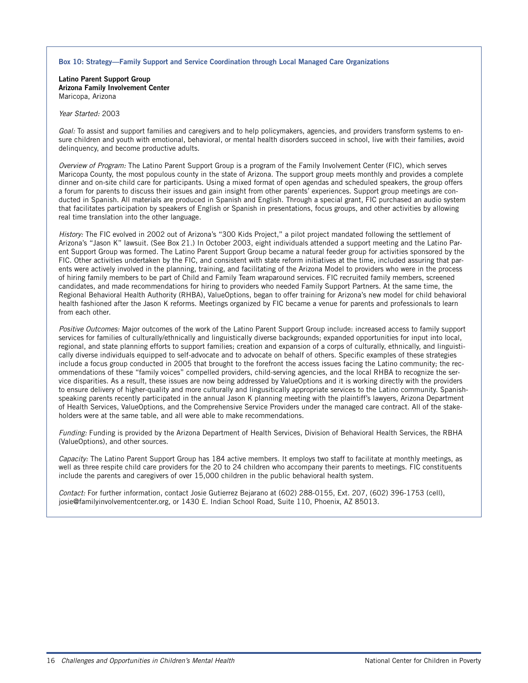#### **Box 10: Strategy—Family Support and Service Coordination through Local Managed Care Organizations**

**Latino Parent Support Group Arizona Family Involvement Center** Maricopa, Arizona

#### Year Started: 2003

Goal: To assist and support families and caregivers and to help policymakers, agencies, and providers transform systems to ensure children and youth with emotional, behavioral, or mental health disorders succeed in school, live with their families, avoid delinquency, and become productive adults.

Overview of Program: The Latino Parent Support Group is a program of the Family Involvement Center (FIC), which serves Maricopa County, the most populous county in the state of Arizona. The support group meets monthly and provides a complete dinner and on-site child care for participants. Using a mixed format of open agendas and scheduled speakers, the group offers a forum for parents to discuss their issues and gain insight from other parents' experiences. Support group meetings are conducted in Spanish. All materials are produced in Spanish and English. Through a special grant, FIC purchased an audio system that facilitates participation by speakers of English or Spanish in presentations, focus groups, and other activities by allowing real time translation into the other language.

History: The FIC evolved in 2002 out of Arizona's "300 Kids Project," a pilot project mandated following the settlement of Arizona's "Jason K" lawsuit. (See Box 21.) In October 2003, eight individuals attended a support meeting and the Latino Parent Support Group was formed. The Latino Parent Support Group became a natural feeder group for activities sponsored by the FIC. Other activities undertaken by the FIC, and consistent with state reform initiatives at the time, included assuring that parents were actively involved in the planning, training, and facilitating of the Arizona Model to providers who were in the process of hiring family members to be part of Child and Family Team wraparound services. FIC recruited family members, screened candidates, and made recommendations for hiring to providers who needed Family Support Partners. At the same time, the Regional Behavioral Health Authority (RHBA), ValueOptions, began to offer training for Arizona's new model for child behavioral health fashioned after the Jason K reforms. Meetings organized by FIC became a venue for parents and professionals to learn from each other.

Positive Outcomes: Major outcomes of the work of the Latino Parent Support Group include: increased access to family support services for families of culturally/ethnically and linguistically diverse backgrounds; expanded opportunities for input into local, regional, and state planning efforts to support families; creation and expansion of a corps of culturally, ethnically, and linguistically diverse individuals equipped to self-advocate and to advocate on behalf of others. Specific examples of these strategies include a focus group conducted in 2005 that brought to the forefront the access issues facing the Latino community; the recommendations of these "family voices" compelled providers, child-serving agencies, and the local RHBA to recognize the service disparities. As a result, these issues are now being addressed by ValueOptions and it is working directly with the providers to ensure delivery of higher-quality and more culturally and lingusitically appropriate services to the Latino community. Spanishspeaking parents recently participated in the annual Jason K planning meeting with the plaintiff's lawyers, Arizona Department of Health Services, ValueOptions, and the Comprehensive Service Providers under the managed care contract. All of the stakeholders were at the same table, and all were able to make recommendations.

Funding: Funding is provided by the Arizona Department of Health Services, Division of Behavioral Health Services, the RBHA (ValueOptions), and other sources.

Capacity: The Latino Parent Support Group has 184 active members. It employs two staff to facilitate at monthly meetings, as well as three respite child care providers for the 20 to 24 children who accompany their parents to meetings. FIC constituents include the parents and caregivers of over 15,000 children in the public behavioral health system.

Contact: For further information, contact Josie Gutierrez Bejarano at (602) 288-0155, Ext. 207, (602) 396-1753 (cell), josie@familyinvolvementcenter.org, or 1430 E. Indian School Road, Suite 110, Phoenix, AZ 85013.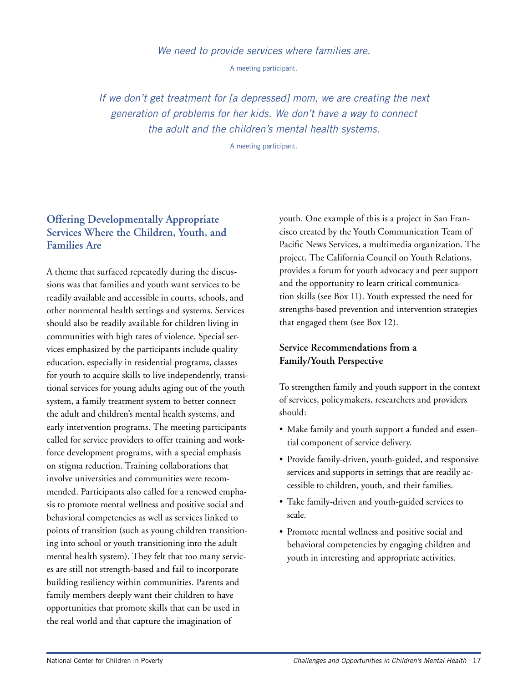### We need to provide services where families are.

A meeting participant.

If we don't get treatment for [a depressed] mom, we are creating the next generation of problems for her kids. We don't have a way to connect the adult and the children's mental health systems.

A meeting participant.

## **Offering Developmentally Appropriate Services Where the Children, Youth, and Families Are**

A theme that surfaced repeatedly during the discussions was that families and youth want services to be readily available and accessible in courts, schools, and other nonmental health settings and systems. Services should also be readily available for children living in communities with high rates of violence. Special services emphasized by the participants include quality education, especially in residential programs, classes for youth to acquire skills to live independently, transitional services for young adults aging out of the youth system, a family treatment system to better connect the adult and children's mental health systems, and early intervention programs. The meeting participants called for service providers to offer training and workforce development programs, with a special emphasis on stigma reduction. Training collaborations that involve universities and communities were recommended. Participants also called for a renewed emphasis to promote mental wellness and positive social and behavioral competencies as well as services linked to points of transition (such as young children transitioning into school or youth transitioning into the adult mental health system). They felt that too many services are still not strength-based and fail to incorporate building resiliency within communities. Parents and family members deeply want their children to have opportunities that promote skills that can be used in the real world and that capture the imagination of

youth. One example of this is a project in San Francisco created by the Youth Communication Team of Pacific News Services, a multimedia organization. The project, The California Council on Youth Relations, provides a forum for youth advocacy and peer support and the opportunity to learn critical communication skills (see Box 11). Youth expressed the need for strengths-based prevention and intervention strategies that engaged them (see Box 12).

## **Service Recommendations from a Family/Youth Perspective**

To strengthen family and youth support in the context of services, policymakers, researchers and providers should:

- Make family and youth support a funded and essential component of service delivery.
- Provide family-driven, youth-guided, and responsive services and supports in settings that are readily accessible to children, youth, and their families.
- Take family-driven and youth-guided services to scale.
- Promote mental wellness and positive social and behavioral competencies by engaging children and youth in interesting and appropriate activities.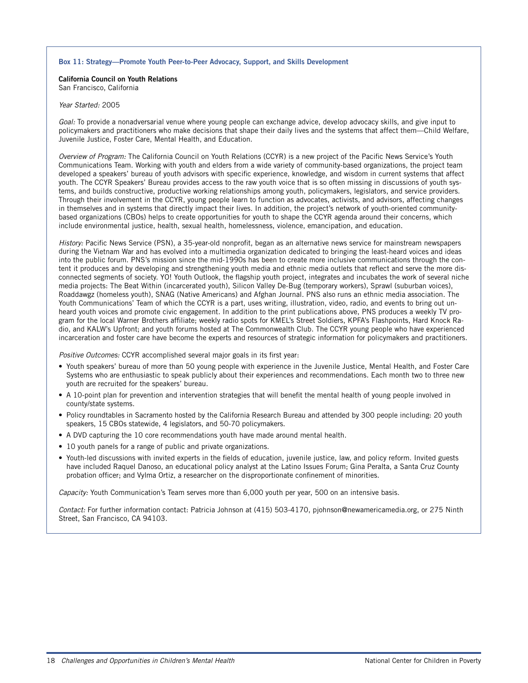#### **Box 11: Strategy—Promote Youth Peer-to-Peer Advocacy, Support, and Skills Development**

#### **California Council on Youth Relations** San Francisco, California

#### Year Started: 2005

Goal: To provide a nonadversarial venue where young people can exchange advice, develop advocacy skills, and give input to policymakers and practitioners who make decisions that shape their daily lives and the systems that affect them—Child Welfare, Juvenile Justice, Foster Care, Mental Health, and Education.

Overview of Program: The California Council on Youth Relations (CCYR) is a new project of the Pacific News Service's Youth Communications Team. Working with youth and elders from a wide variety of community-based organizations, the project team developed a speakers' bureau of youth advisors with specific experience, knowledge, and wisdom in current systems that affect youth. The CCYR Speakers' Bureau provides access to the raw youth voice that is so often missing in discussions of youth systems, and builds constructive, productive working relationships among youth, policymakers, legislators, and service providers. Through their involvement in the CCYR, young people learn to function as advocates, activists, and advisors, affecting changes in themselves and in systems that directly impact their lives. In addition, the project's network of youth-oriented communitybased organizations (CBOs) helps to create opportunities for youth to shape the CCYR agenda around their concerns, which include environmental justice, health, sexual health, homelessness, violence, emancipation, and education.

History: Pacific News Service (PSN), a 35-year-old nonprofit, began as an alternative news service for mainstream newspapers during the Vietnam War and has evolved into a multimedia organization dedicated to bringing the least-heard voices and ideas into the public forum. PNS's mission since the mid-1990s has been to create more inclusive communications through the content it produces and by developing and strengthening youth media and ethnic media outlets that reflect and serve the more disconnected segments of society. YO! Youth Outlook, the flagship youth project, integrates and incubates the work of several niche media projects: The Beat Within (incarcerated youth), Silicon Valley De-Bug (temporary workers), Sprawl (suburban voices), Roaddawgz (homeless youth), SNAG (Native Americans) and Afghan Journal. PNS also runs an ethnic media association. The Youth Communications' Team of which the CCYR is a part, uses writing, illustration, video, radio, and events to bring out unheard youth voices and promote civic engagement. In addition to the print publications above, PNS produces a weekly TV program for the local Warner Brothers affiliate; weekly radio spots for KMEL's Street Soldiers, KPFA's Flashpoints, Hard Knock Radio, and KALW's Upfront; and youth forums hosted at The Commonwealth Club. The CCYR young people who have experienced incarceration and foster care have become the experts and resources of strategic information for policymakers and practitioners.

Positive Outcomes: CCYR accomplished several major goals in its first year:

- Youth speakers' bureau of more than 50 young people with experience in the Juvenile Justice, Mental Health, and Foster Care Systems who are enthusiastic to speak publicly about their experiences and recommendations. Each month two to three new youth are recruited for the speakers' bureau.
- A 10-point plan for prevention and intervention strategies that will benefit the mental health of young people involved in county/state systems.
- Policy roundtables in Sacramento hosted by the California Research Bureau and attended by 300 people including: 20 youth speakers, 15 CBOs statewide, 4 legislators, and 50-70 policymakers.
- A DVD capturing the 10 core recommendations youth have made around mental health.
- 10 youth panels for a range of public and private organizations.
- Youth-led discussions with invited experts in the fields of education, juvenile justice, law, and policy reform. Invited guests have included Raquel Danoso, an educational policy analyst at the Latino Issues Forum; Gina Peralta, a Santa Cruz County probation officer; and Vylma Ortiz, a researcher on the disproportionate confinement of minorities.

Capacity: Youth Communication's Team serves more than 6,000 youth per year, 500 on an intensive basis.

Contact: For further information contact: Patricia Johnson at (415) 503-4170, pjohnson@newamericamedia.org, or 275 Ninth Street, San Francisco, CA 94103.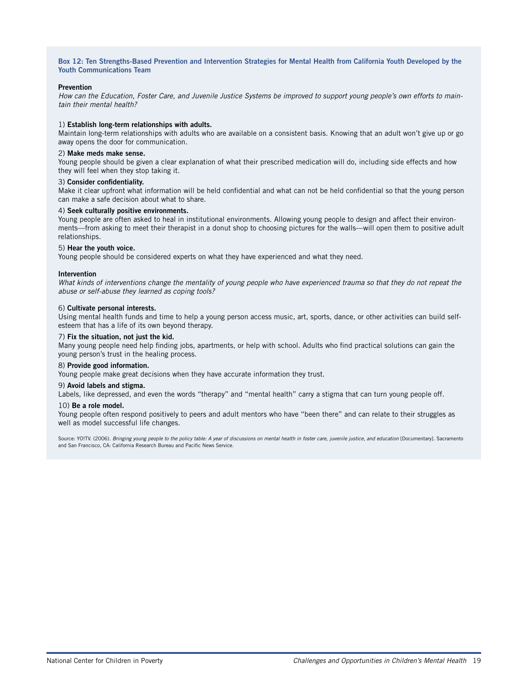**Box 12: Ten Strengths-Based Prevention and Intervention Strategies for Mental Health from California Youth Developed by the Youth Communications Team**

#### **Prevention**

How can the Education, Foster Care, and Juvenile Justice Systems be improved to support young people's own efforts to maintain their mental health?

#### 1) **Establish long-term relationships with adults.**

Maintain long-term relationships with adults who are available on a consistent basis. Knowing that an adult won't give up or go away opens the door for communication.

#### 2) **Make meds make sense.**

Young people should be given a clear explanation of what their prescribed medication will do, including side effects and how they will feel when they stop taking it.

#### 3) **Consider confidentiality.**

Make it clear upfront what information will be held confidential and what can not be held confidential so that the young person can make a safe decision about what to share.

#### 4) **Seek culturally positive environments.**

Young people are often asked to heal in institutional environments. Allowing young people to design and affect their environments—from asking to meet their therapist in a donut shop to choosing pictures for the walls—will open them to positive adult relationships.

#### 5) **Hear the youth voice.**

Young people should be considered experts on what they have experienced and what they need.

#### **Intervention**

What kinds of interventions change the mentality of young people who have experienced trauma so that they do not repeat the abuse or self-abuse they learned as coping tools?

#### 6) **Cultivate personal interests.**

Using mental health funds and time to help a young person access music, art, sports, dance, or other activities can build selfesteem that has a life of its own beyond therapy.

#### 7) **Fix the situation, not just the kid.**

Many young people need help finding jobs, apartments, or help with school. Adults who find practical solutions can gain the young person's trust in the healing process.

#### 8) **Provide good information.**

Young people make great decisions when they have accurate information they trust.

#### 9) **Avoid labels and stigma.**

Labels, like depressed, and even the words "therapy" and "mental health" carry a stigma that can turn young people off.

#### 10) **Be a role model.**

Young people often respond positively to peers and adult mentors who have "been there" and can relate to their struggles as well as model successful life changes.

Source: YO!TV. (2006). Bringing young people to the policy table: A year of discussions on mental health in foster care, juvenile justice, and education [Documentary]. Sacramento and San Francisco, CA: California Research Bureau and Pacific News Service.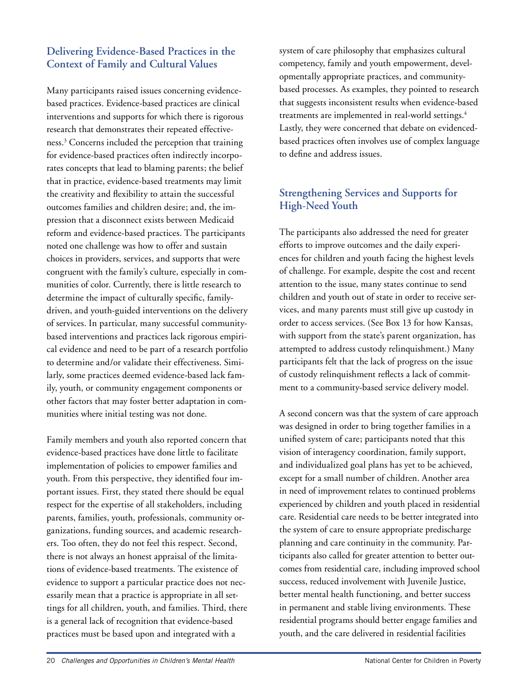## **Delivering Evidence-Based Practices in the Context of Family and Cultural Values**

Many participants raised issues concerning evidencebased practices. Evidence-based practices are clinical interventions and supports for which there is rigorous research that demonstrates their repeated effectiveness.3 Concerns included the perception that training for evidence-based practices often indirectly incorporates concepts that lead to blaming parents; the belief that in practice, evidence-based treatments may limit the creativity and flexibility to attain the successful outcomes families and children desire; and, the impression that a disconnect exists between Medicaid reform and evidence-based practices. The participants noted one challenge was how to offer and sustain choices in providers, services, and supports that were congruent with the family's culture, especially in communities of color. Currently, there is little research to determine the impact of culturally specific, familydriven, and youth-guided interventions on the delivery of services. In particular, many successful communitybased interventions and practices lack rigorous empirical evidence and need to be part of a research portfolio to determine and/or validate their effectiveness. Similarly, some practices deemed evidence-based lack family, youth, or community engagement components or other factors that may foster better adaptation in communities where initial testing was not done.

Family members and youth also reported concern that evidence-based practices have done little to facilitate implementation of policies to empower families and youth. From this perspective, they identified four important issues. First, they stated there should be equal respect for the expertise of all stakeholders, including parents, families, youth, professionals, community organizations, funding sources, and academic researchers. Too often, they do not feel this respect. Second, there is not always an honest appraisal of the limitations of evidence-based treatments. The existence of evidence to support a particular practice does not necessarily mean that a practice is appropriate in all settings for all children, youth, and families. Third, there is a general lack of recognition that evidence-based practices must be based upon and integrated with a

system of care philosophy that emphasizes cultural competency, family and youth empowerment, developmentally appropriate practices, and communitybased processes. As examples, they pointed to research that suggests inconsistent results when evidence-based treatments are implemented in real-world settings.<sup>4</sup> Lastly, they were concerned that debate on evidencedbased practices often involves use of complex language to define and address issues.

## **Strengthening Services and Supports for High-Need Youth**

The participants also addressed the need for greater efforts to improve outcomes and the daily experiences for children and youth facing the highest levels of challenge. For example, despite the cost and recent attention to the issue, many states continue to send children and youth out of state in order to receive services, and many parents must still give up custody in order to access services. (See Box 13 for how Kansas, with support from the state's parent organization, has attempted to address custody relinquishment.) Many participants felt that the lack of progress on the issue of custody relinquishment reflects a lack of commitment to a community-based service delivery model.

A second concern was that the system of care approach was designed in order to bring together families in a unified system of care; participants noted that this vision of interagency coordination, family support, and individualized goal plans has yet to be achieved, except for a small number of children. Another area in need of improvement relates to continued problems experienced by children and youth placed in residential care. Residential care needs to be better integrated into the system of care to ensure appropriate predischarge planning and care continuity in the community. Participants also called for greater attention to better outcomes from residential care, including improved school success, reduced involvement with Juvenile Justice, better mental health functioning, and better success in permanent and stable living environments. These residential programs should better engage families and youth, and the care delivered in residential facilities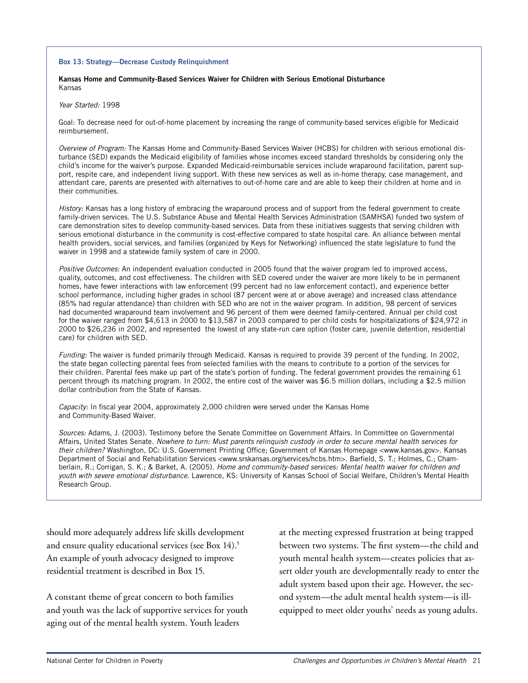#### **Box 13: Strategy—Decrease Custody Relinquishment**

#### **Kansas Home and Community-Based Services Waiver for Children with Serious Emotional Disturbance** Kansas

#### Year Started: 1998

Goal: To decrease need for out-of-home placement by increasing the range of community-based services eligible for Medicaid reimbursement.

Overview of Program: The Kansas Home and Community-Based Services Waiver (HCBS) for children with serious emotional disturbance (SED) expands the Medicaid eligibility of families whose incomes exceed standard thresholds by considering only the child's income for the waiver's purpose. Expanded Medicaid-reimbursable services include wraparound facilitation, parent support, respite care, and independent living support. With these new services as well as in-home therapy, case management, and attendant care, parents are presented with alternatives to out-of-home care and are able to keep their children at home and in their communities.

History: Kansas has a long history of embracing the wraparound process and of support from the federal government to create family-driven services. The U.S. Substance Abuse and Mental Health Services Administration (SAMHSA) funded two system of care demonstration sites to develop community-based services. Data from these initiatives suggests that serving children with serious emotional disturbance in the community is cost-effective compared to state hospital care. An alliance between mental health providers, social services, and families (organized by Keys for Networking) influenced the state legislature to fund the waiver in 1998 and a statewide family system of care in 2000.

Positive Outcomes: An independent evaluation conducted in 2005 found that the waiver program led to improved access, quality, outcomes, and cost effectiveness. The children with SED covered under the waiver are more likely to be in permanent homes, have fewer interactions with law enforcement (99 percent had no law enforcement contact), and experience better school performance, including higher grades in school (87 percent were at or above average) and increased class attendance (85% had regular attendance) than children with SED who are not in the waiver program. In addition, 98 percent of services had documented wraparound team involvement and 96 percent of them were deemed family-centered. Annual per child cost for the waiver ranged from \$4,613 in 2000 to \$13,587 in 2003 compared to per child costs for hospitalizations of \$24,972 in 2000 to \$26,236 in 2002, and represented the lowest of any state-run care option (foster care, juvenile detention, residential care) for children with SED.

Funding: The waiver is funded primarily through Medicaid. Kansas is required to provide 39 percent of the funding. In 2002, the state began collecting parental fees from selected families with the means to contribute to a portion of the services for their children. Parental fees make up part of the state's portion of funding. The federal government provides the remaining 61 percent through its matching program. In 2002, the entire cost of the waiver was \$6.5 million dollars, including a \$2.5 million dollar contribution from the State of Kansas.

Capacity: In fiscal year 2004, approximately 2,000 children were served under the Kansas Home and Community-Based Waiver.

Sources: Adams, J. (2003). Testimony before the Senate Committee on Government Affairs. In Committee on Governmental Affairs, United States Senate. Nowhere to turn: Must parents relinquish custody in order to secure mental health services for their children? Washington, DC: U.S. Government Printing Office; Government of Kansas Homepage <www.kansas.gov>. Kansas Department of Social and Rehabilitation Services <www.srskansas.org/services/hcbs.htm>. Barfield, S. T.; Holmes, C.; Chamberlain, R.; Corrigan, S. K.; & Barket, A. (2005). Home and community-based services: Mental health waiver for children and youth with severe emotional disturbance. Lawrence, KS: University of Kansas School of Social Welfare, Children's Mental Health Research Group.

should more adequately address life skills development and ensure quality educational services (see Box 14).<sup>5</sup> An example of youth advocacy designed to improve residential treatment is described in Box 15.

A constant theme of great concern to both families and youth was the lack of supportive services for youth aging out of the mental health system. Youth leaders

at the meeting expressed frustration at being trapped between two systems. The first system—the child and youth mental health system—creates policies that assert older youth are developmentally ready to enter the adult system based upon their age. However, the second system—the adult mental health system—is illequipped to meet older youths' needs as young adults.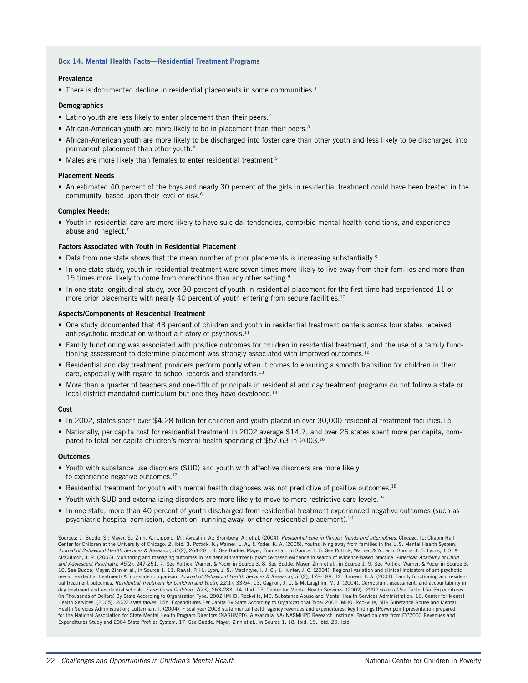#### **Box 14: Mental Health Facts—Residential Treatment Programs**

#### **Prevalence**

• There is documented decline in residential placements in some communities.<sup>1</sup>

#### **Demographics**

- Latino youth are less likely to enter placement than their peers.<sup>2</sup>
- African-American youth are more likely to be in placement than their peers.<sup>3</sup>
- African-American youth are more likely to be discharged into foster care than other youth and less likely to be discharged into permanent placement than other youth.4
- Males are more likely than females to enter residential treatment.<sup>5</sup>

#### **Placement Needs**

• An estimated 40 percent of the boys and nearly 30 percent of the girls in residential treatment could have been treated in the community, based upon their level of risk.<sup>6</sup>

#### **Complex Needs:**

• Youth in residential care are more likely to have suicidal tendencies, comorbid mental health conditions, and experience abuse and neglect.<sup>7</sup>

#### **Factors Associated with Youth in Residential Placement**

- Data from one state shows that the mean number of prior placements is increasing substantially.<sup>8</sup>
- In one state study, youth in residential treatment were seven times more likely to live away from their families and more than 15 times more likely to come from corrections than any other setting.<sup>9</sup>
- In one state longitudinal study, over 30 percent of youth in residential placement for the first time had experienced 11 or more prior placements with nearly 40 percent of youth entering from secure facilities.<sup>10</sup>

#### **Aspects/Components of Residential Treatment**

- One study documented that 43 percent of children and youth in residential treatment centers across four states received antipsychotic medication without a history of psychosis.<sup>11</sup>
- Family functioning was associated with positive outcomes for children in residential treatment, and the use of a family functioning assessment to determine placement was strongly associated with improved outcomes.<sup>12</sup>
- Residential and day treatment providers perform poorly when it comes to ensuring a smooth transition for children in their care, especially with regard to school records and standards.<sup>13</sup>
- More than a quarter of teachers and one-fifth of principals in residential and day treatment programs do not follow a state or local district mandated curriculum but one they have developed.<sup>14</sup>

#### **Cost**

- In 2002, states spent over \$4.28 billion for children and youth placed in over 30,000 residential treatment facilities.15
- Nationally, per capita cost for residential treatment in 2002 average \$14.7, and over 26 states spent more per capita, compared to total per capita children's mental health spending of \$57.63 in 2003.16

#### **Outcomes**

- Youth with substance use disorders (SUD) and youth with affective disorders are more likely to experience negative outcomes.<sup>17</sup>
- Residential treatment for youth with mental health diagnoses was not predictive of positive outcomes.<sup>18</sup>
- Youth with SUD and externalizing disorders are more likely to move to more restrictive care levels.<sup>19</sup>
- In one state, more than 40 percent of youth discharged from residential treatment experienced negative outcomes (such as psychiatric hospital admission, detention, running away, or other residential placement).20

Sources: 1. Budde, S.; Mayer, S.; Zinn, A.; Lippold, M.; Avrushin, A.; Bromberg, A.; et al. (2004). Residential care in Illinois: Trends and alternatives. Chicago, IL: Chapin Hall Center for Children at the University of Chicago. 2. Ibid. 3. Pottick, K.; Warner, L. A.; & Yoder, K. A. (2005). Youths living away from families in the U.S. Mental Health System. Journal of Behavioral Health Services & Research, 32(2), 264-281. 4. See Budde, Mayer, Zinn et al., in Source 1. 5. See Pottick, Warner, & Yoder in Source 3. 6. Lyons, J. S. & McCulloch, J. R. (2006). Monitoring and managing outcomes in residential treatment: practice-based evidence in search of evidence-based practice. American Academy of Child and Adolescent Psychiatry, 45(2), 247-251. 7. See Pottick, Warner, & Yoder in Source 3. 8. See Budde, Mayer, Zinn et al., in Source 1. 9. See Pottick, Warner, & Yoder in Source 3. 10. See Budde, Mayer, Zinn et al., in Source 1. 11. Rawal, P. H.; Lyon, J. S.; MacIntyre, I. J. C.; & Hunter, J. C. (2004). Regional variation and clinical indicators of antipsychotic use in residential treatment: A four-state comparison. Journal of Behavioral Health Services & Research, 31(2), 178-188. 12. Sunseri, P. A. (2004). Family functioning and residential treatment outcomes. *Residential Treatment for Children and Youth, 22*(1), 33-54. 13. Gagnon, J. C. & McLaughlin, M. J. (2004). Curriculum, assessment, and accountability in<br>day treatment and residential schools. *Exc* (in Thousands of Dollars) By State According to Organization Type: 2002 IMHO. Rockville, MD: Substance Abuse and Mental Health Services Administration. 16. Center for Mental Health Services. (2005). 2002 state tables. 15b. Expenditures Per Capita By State According to Organizational Type: 2002 IMHO. Rockville, MD: Substance Abuse and Mental Health Services Administration; Lutterman, T. (2004). Fiscal year 2003 state mental health agency revenues and expenditures: key findings [Power point presentation prepared for the National Association for State Mental Health Program Directors (NASHMPD). Alexandria, VA: NASMHPD Research Institute. Based on data from FY'2003 Revenues and Expenditures Study and 2004 State Profiles System. 17. See Budde, Mayer, Zinn et al., in Source 1. 18. Ibid. 19. Ibid. 20. Ibid.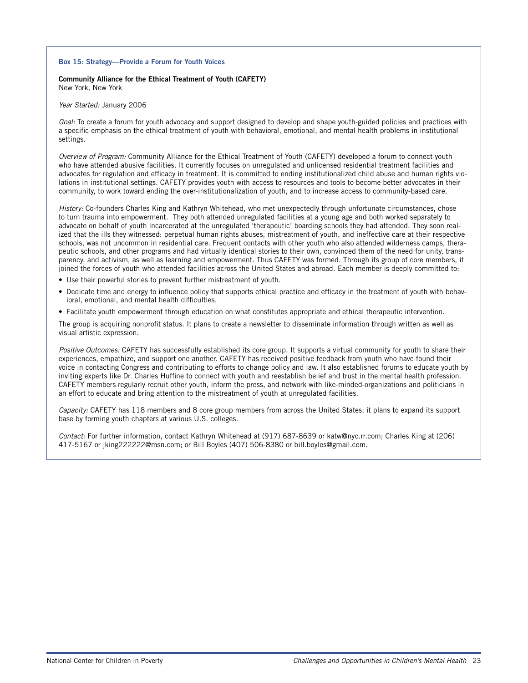#### **Box 15: Strategy—Provide a Forum for Youth Voices**

#### **Community Alliance for the Ethical Treatment of Youth (CAFETY)** New York, New York

#### Year Started: January 2006

Goal: To create a forum for youth advocacy and support designed to develop and shape youth-guided policies and practices with a specific emphasis on the ethical treatment of youth with behavioral, emotional, and mental health problems in institutional settings.

Overview of Program: Community Alliance for the Ethical Treatment of Youth (CAFETY) developed a forum to connect youth who have attended abusive facilities. It currently focuses on unregulated and unlicensed residential treatment facilities and advocates for regulation and efficacy in treatment. It is committed to ending institutionalized child abuse and human rights violations in institutional settings. CAFETY provides youth with access to resources and tools to become better advocates in their community, to work toward ending the over-institutionalization of youth, and to increase access to community-based care.

History: Co-founders Charles King and Kathryn Whitehead, who met unexpectedly through unfortunate circumstances, chose to turn trauma into empowerment. They both attended unregulated facilities at a young age and both worked separately to advocate on behalf of youth incarcerated at the unregulated 'therapeutic' boarding schools they had attended. They soon realized that the ills they witnessed: perpetual human rights abuses, mistreatment of youth, and ineffective care at their respective schools, was not uncommon in residential care. Frequent contacts with other youth who also attended wilderness camps, therapeutic schools, and other programs and had virtually identical stories to their own, convinced them of the need for unity, transparency, and activism, as well as learning and empowerment. Thus CAFETY was formed. Through its group of core members, it joined the forces of youth who attended facilities across the United States and abroad. Each member is deeply committed to:

- Use their powerful stories to prevent further mistreatment of youth.
- Dedicate time and energy to influence policy that supports ethical practice and efficacy in the treatment of youth with behavioral, emotional, and mental health difficulties.
- Facilitate youth empowerment through education on what constitutes appropriate and ethical therapeutic intervention.

The group is acquiring nonprofit status. It plans to create a newsletter to disseminate information through written as well as visual artistic expression.

Positive Outcomes: CAFETY has successfully established its core group. It supports a virtual community for youth to share their experiences, empathize, and support one another. CAFETY has received positive feedback from youth who have found their voice in contacting Congress and contributing to efforts to change policy and law. It also established forums to educate youth by inviting experts like Dr. Charles Huffine to connect with youth and reestablish belief and trust in the mental health profession. CAFETY members regularly recruit other youth, inform the press, and network with like-minded-organizations and politicians in an effort to educate and bring attention to the mistreatment of youth at unregulated facilities.

Capacity: CAFETY has 118 members and 8 core group members from across the United States; it plans to expand its support base by forming youth chapters at various U.S. colleges.

Contact: For further information, contact Kathryn Whitehead at (917) 687-8639 or katw@nyc.rr.com; Charles King at (206) 417-5167 or jking222222@msn.com; or Bill Boyles (407) 506-8380 or bill.boyles@gmail.com.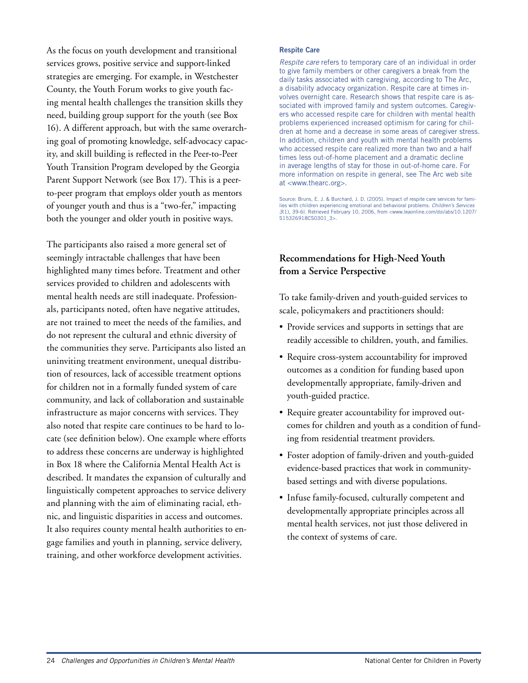As the focus on youth development and transitional services grows, positive service and support-linked strategies are emerging. For example, in Westchester County, the Youth Forum works to give youth facing mental health challenges the transition skills they need, building group support for the youth (see Box 16). A different approach, but with the same overarching goal of promoting knowledge, self-advocacy capacity, and skill building is reflected in the Peer-to-Peer Youth Transition Program developed by the Georgia Parent Support Network (see Box 17). This is a peerto-peer program that employs older youth as mentors of younger youth and thus is a "two-fer," impacting both the younger and older youth in positive ways.

The participants also raised a more general set of seemingly intractable challenges that have been highlighted many times before. Treatment and other services provided to children and adolescents with mental health needs are still inadequate. Professionals, participants noted, often have negative attitudes, are not trained to meet the needs of the families, and do not represent the cultural and ethnic diversity of the communities they serve. Participants also listed an uninviting treatment environment, unequal distribution of resources, lack of accessible treatment options for children not in a formally funded system of care community, and lack of collaboration and sustainable infrastructure as major concerns with services. They also noted that respite care continues to be hard to locate (see definition below). One example where efforts to address these concerns are underway is highlighted in Box 18 where the California Mental Health Act is described. It mandates the expansion of culturally and linguistically competent approaches to service delivery and planning with the aim of eliminating racial, ethnic, and linguistic disparities in access and outcomes. It also requires county mental health authorities to engage families and youth in planning, service delivery, training, and other workforce development activities.

#### **Respite Care**

Respite care refers to temporary care of an individual in order to give family members or other caregivers a break from the daily tasks associated with caregiving, according to The Arc, a disability advocacy organization. Respite care at times involves overnight care. Research shows that respite care is associated with improved family and system outcomes. Caregivers who accessed respite care for children with mental health problems experienced increased optimism for caring for children at home and a decrease in some areas of caregiver stress. In addition, children and youth with mental health problems who accessed respite care realized more than two and a half times less out-of-home placement and a dramatic decline in average lengths of stay for those in out-of-home care. For more information on respite in general, see The Arc web site at <www.thearc.org>.

Source: Bruns, E. J. & Burchard, J. D. (2005). Impact of respite care services for families with children experiencing emotional and behavioral problems. Children's Services 3(1), 39-6l. Retrieved February 10, 2006, from <www.leaonline.com/doi/abs/10.1207/ S15326918CS0301\_3>.

## **Recommendations for High-Need Youth from a Service Perspective**

To take family-driven and youth-guided services to scale, policymakers and practitioners should:

- Provide services and supports in settings that are readily accessible to children, youth, and families.
- Require cross-system accountability for improved outcomes as a condition for funding based upon developmentally appropriate, family-driven and youth-guided practice.
- Require greater accountability for improved outcomes for children and youth as a condition of funding from residential treatment providers.
- Foster adoption of family-driven and youth-guided evidence-based practices that work in communitybased settings and with diverse populations.
- Infuse family-focused, culturally competent and developmentally appropriate principles across all mental health services, not just those delivered in the context of systems of care.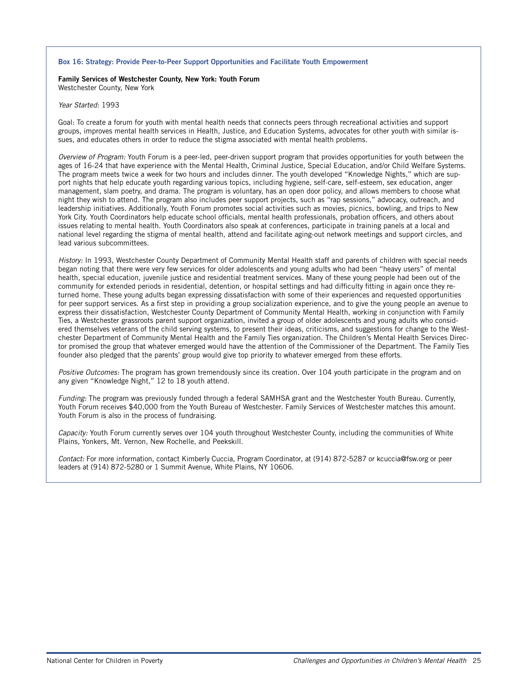#### **Box 16: Strategy: Provide Peer-to-Peer Support Opportunities and Facilitate Youth Empowerment**

#### **Family Services of Westchester County, New York: Youth Forum** Westchester County, New York

#### Year Started: 1993

Goal: To create a forum for youth with mental health needs that connects peers through recreational activities and support groups, improves mental health services in Health, Justice, and Education Systems, advocates for other youth with similar issues, and educates others in order to reduce the stigma associated with mental health problems.

Overview of Program: Youth Forum is a peer-led, peer-driven support program that provides opportunities for youth between the ages of 16-24 that have experience with the Mental Health, Criminal Justice, Special Education, and/or Child Welfare Systems. The program meets twice a week for two hours and includes dinner. The youth developed "Knowledge Nights," which are support nights that help educate youth regarding various topics, including hygiene, self-care, self-esteem, sex education, anger management, slam poetry, and drama. The program is voluntary, has an open door policy, and allows members to choose what night they wish to attend. The program also includes peer support projects, such as "rap sessions," advocacy, outreach, and leadership initiatives. Additionally, Youth Forum promotes social activities such as movies, picnics, bowling, and trips to New York City. Youth Coordinators help educate school officials, mental health professionals, probation officers, and others about issues relating to mental health. Youth Coordinators also speak at conferences, participate in training panels at a local and national level regarding the stigma of mental health, attend and facilitate aging-out network meetings and support circles, and lead various subcommittees.

History: In 1993, Westchester County Department of Community Mental Health staff and parents of children with special needs began noting that there were very few services for older adolescents and young adults who had been "heavy users" of mental health, special education, juvenile justice and residential treatment services. Many of these young people had been out of the community for extended periods in residential, detention, or hospital settings and had difficulty fitting in again once they returned home. These young adults began expressing dissatisfaction with some of their experiences and requested opportunities for peer support services. As a first step in providing a group socialization experience, and to give the young people an avenue to express their dissatisfaction, Westchester County Department of Community Mental Health, working in conjunction with Family Ties, a Westchester grassroots parent support organization, invited a group of older adolescents and young adults who considered themselves veterans of the child serving systems, to present their ideas, criticisms, and suggestions for change to the Westchester Department of Community Mental Health and the Family Ties organization. The Children's Mental Health Services Director promised the group that whatever emerged would have the attention of the Commissioner of the Department. The Family Ties founder also pledged that the parents' group would give top priority to whatever emerged from these efforts.

Positive Outcomes: The program has grown tremendously since its creation. Over 104 youth participate in the program and on any given "Knowledge Night," 12 to 18 youth attend.

Funding: The program was previously funded through a federal SAMHSA grant and the Westchester Youth Bureau. Currently, Youth Forum receives \$40,000 from the Youth Bureau of Westchester. Family Services of Westchester matches this amount. Youth Forum is also in the process of fundraising.

Capacity: Youth Forum currently serves over 104 youth throughout Westchester County, including the communities of White Plains, Yonkers, Mt. Vernon, New Rochelle, and Peekskill.

Contact: For more information, contact Kimberly Cuccia, Program Coordinator, at (914) 872-5287 or kcuccia@fsw.org or peer leaders at (914) 872-5280 or 1 Summit Avenue, White Plains, NY 10606.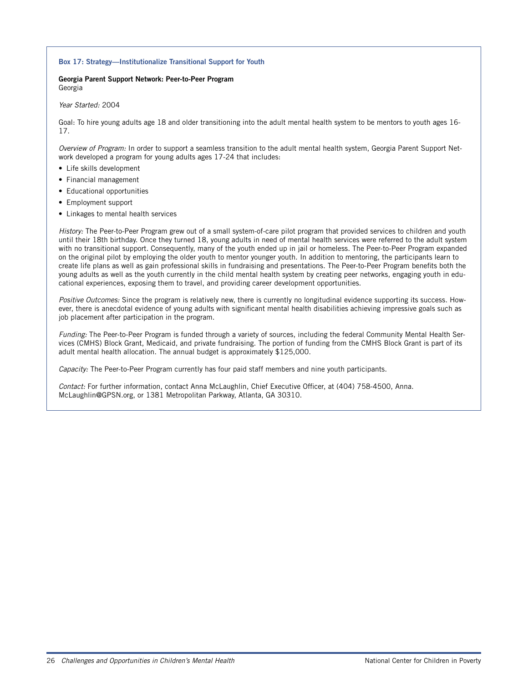#### **Box 17: Strategy—Institutionalize Transitional Support for Youth**

#### **Georgia Parent Support Network: Peer-to-Peer Program** Georgia

#### Year Started: 2004

Goal: To hire young adults age 18 and older transitioning into the adult mental health system to be mentors to youth ages 16- 17.

Overview of Program: In order to support a seamless transition to the adult mental health system, Georgia Parent Support Network developed a program for young adults ages 17-24 that includes:

- Life skills development
- Financial management
- Educational opportunities
- Employment support
- Linkages to mental health services

History: The Peer-to-Peer Program grew out of a small system-of-care pilot program that provided services to children and youth until their 18th birthday. Once they turned 18, young adults in need of mental health services were referred to the adult system with no transitional support. Consequently, many of the youth ended up in jail or homeless. The Peer-to-Peer Program expanded on the original pilot by employing the older youth to mentor younger youth. In addition to mentoring, the participants learn to create life plans as well as gain professional skills in fundraising and presentations. The Peer-to-Peer Program benefits both the young adults as well as the youth currently in the child mental health system by creating peer networks, engaging youth in educational experiences, exposing them to travel, and providing career development opportunities.

Positive Outcomes: Since the program is relatively new, there is currently no longitudinal evidence supporting its success. However, there is anecdotal evidence of young adults with significant mental health disabilities achieving impressive goals such as job placement after participation in the program.

Funding: The Peer-to-Peer Program is funded through a variety of sources, including the federal Community Mental Health Services (CMHS) Block Grant, Medicaid, and private fundraising. The portion of funding from the CMHS Block Grant is part of its adult mental health allocation. The annual budget is approximately \$125,000.

Capacity: The Peer-to-Peer Program currently has four paid staff members and nine youth participants.

Contact: For further information, contact Anna McLaughlin, Chief Executive Officer, at (404) 758-4500, Anna. McLaughlin@GPSN.org, or 1381 Metropolitan Parkway, Atlanta, GA 30310.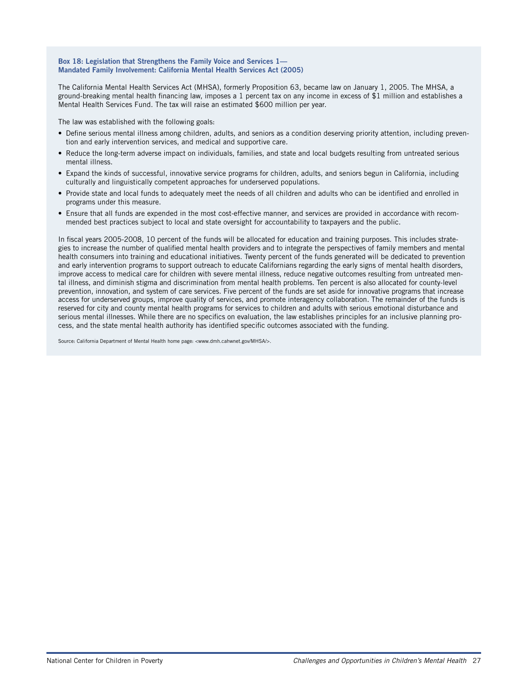#### **Box 18: Legislation that Strengthens the Family Voice and Services 1— Mandated Family Involvement: California Mental Health Services Act (2005)**

The California Mental Health Services Act (MHSA), formerly Proposition 63, became law on January 1, 2005. The MHSA, a ground-breaking mental health financing law, imposes a 1 percent tax on any income in excess of \$1 million and establishes a Mental Health Services Fund. The tax will raise an estimated \$600 million per year.

The law was established with the following goals:

- Define serious mental illness among children, adults, and seniors as a condition deserving priority attention, including prevention and early intervention services, and medical and supportive care.
- Reduce the long-term adverse impact on individuals, families, and state and local budgets resulting from untreated serious mental illness.
- Expand the kinds of successful, innovative service programs for children, adults, and seniors begun in California, including culturally and linguistically competent approaches for underserved populations.
- Provide state and local funds to adequately meet the needs of all children and adults who can be identified and enrolled in programs under this measure.
- Ensure that all funds are expended in the most cost-effective manner, and services are provided in accordance with recommended best practices subject to local and state oversight for accountability to taxpayers and the public.

In fiscal years 2005-2008, 10 percent of the funds will be allocated for education and training purposes. This includes strategies to increase the number of qualified mental health providers and to integrate the perspectives of family members and mental health consumers into training and educational initiatives. Twenty percent of the funds generated will be dedicated to prevention and early intervention programs to support outreach to educate Californians regarding the early signs of mental health disorders, improve access to medical care for children with severe mental illness, reduce negative outcomes resulting from untreated mental illness, and diminish stigma and discrimination from mental health problems. Ten percent is also allocated for county-level prevention, innovation, and system of care services. Five percent of the funds are set aside for innovative programs that increase access for underserved groups, improve quality of services, and promote interagency collaboration. The remainder of the funds is reserved for city and county mental health programs for services to children and adults with serious emotional disturbance and serious mental illnesses. While there are no specifics on evaluation, the law establishes principles for an inclusive planning process, and the state mental health authority has identified specific outcomes associated with the funding.

Source: California Department of Mental Health home page: <www.dmh.cahwnet.gov/MHSA/>.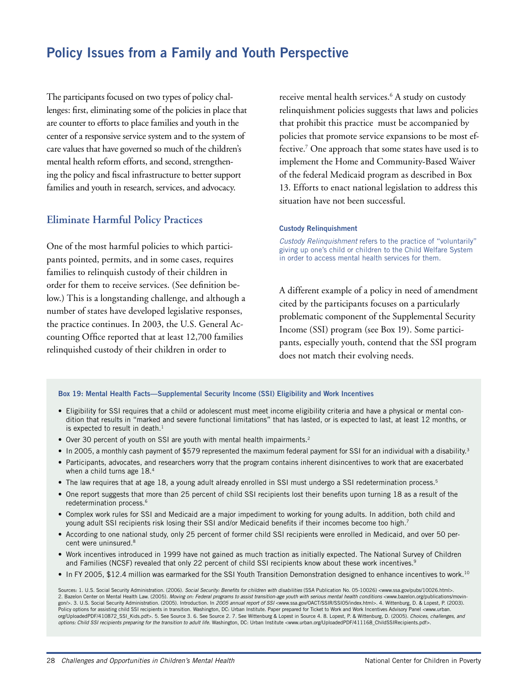## **Policy Issues from a Family and Youth Perspective**

The participants focused on two types of policy challenges: first, eliminating some of the policies in place that are counter to efforts to place families and youth in the center of a responsive service system and to the system of care values that have governed so much of the children's mental health reform efforts, and second, strengthening the policy and fiscal infrastructure to better support families and youth in research, services, and advocacy.

## **Eliminate Harmful Policy Practices**

One of the most harmful policies to which participants pointed, permits, and in some cases, requires families to relinquish custody of their children in order for them to receive services. (See definition below.) This is a longstanding challenge, and although a number of states have developed legislative responses, the practice continues. In 2003, the U.S. General Accounting Office reported that at least 12,700 families relinquished custody of their children in order to

receive mental health services.6 A study on custody relinquishment policies suggests that laws and policies that prohibit this practice must be accompanied by policies that promote service expansions to be most effective.7 One approach that some states have used is to implement the Home and Community-Based Waiver of the federal Medicaid program as described in Box 13. Efforts to enact national legislation to address this situation have not been successful.

#### **Custody Relinquishment**

Custody Relinquishment refers to the practice of "voluntarily" giving up one's child or children to the Child Welfare System in order to access mental health services for them.

A different example of a policy in need of amendment cited by the participants focuses on a particularly problematic component of the Supplemental Security Income (SSI) program (see Box 19). Some participants, especially youth, contend that the SSI program does not match their evolving needs.

#### **Box 19: Mental Health Facts—Supplemental Security Income (SSI) Eligibility and Work Incentives**

- Eligibility for SSI requires that a child or adolescent must meet income eligibility criteria and have a physical or mental condition that results in "marked and severe functional limitations" that has lasted, or is expected to last, at least 12 months, or is expected to result in death. $<sup>1</sup>$ </sup>
- Over 30 percent of youth on SSI are youth with mental health impairments.<sup>2</sup>
- In 2005, a monthly cash payment of \$579 represented the maximum federal payment for SSI for an individual with a disability.<sup>3</sup>
- Participants, advocates, and researchers worry that the program contains inherent disincentives to work that are exacerbated when a child turns age 18.<sup>4</sup>
- The law requires that at age 18, a young adult already enrolled in SSI must undergo a SSI redetermination process.<sup>5</sup>
- One report suggests that more than 25 percent of child SSI recipients lost their benefits upon turning 18 as a result of the redetermination process.6
- Complex work rules for SSI and Medicaid are a major impediment to working for young adults. In addition, both child and young adult SSI recipients risk losing their SSI and/or Medicaid benefits if their incomes become too high.7
- According to one national study, only 25 percent of former child SSI recipients were enrolled in Medicaid, and over 50 percent were uninsured.8
- Work incentives introduced in 1999 have not gained as much traction as initially expected. The National Survey of Children and Families (NCSF) revealed that only 22 percent of child SSI recipients know about these work incentives.<sup>9</sup>
- In FY 2005, \$12.4 million was earmarked for the SSI Youth Transition Demonstration designed to enhance incentives to work.10

Sources: 1. U.S. Social Security Administration. (2006). Social Security: Benefits for children with disabilities (SSA Publication No. 05-10026) <www.ssa.gov/pubs/10026.html>. 2. Bazelon Center on Mental Health Law. (2005). Moving on: Federal programs to assist transition-age youth with serious mental health conditions <www.bazelon.org/publications/movingon/>. 3. U.S. Social Security Administration. (2005). Introduction. In 2005 annual report of SSI <www.ssa.gov/OACT/SSIR/SSI05/index.html>. 4. Wittenburg, D. & Lopest, P. (2003). Policy options for assisting child SSI recipients in transition. Washington, DC: Urban Institute. Paper prepared for Ticket to Work and Work Incentives Advisory Panel <www.urban. org/UploadedPDF/410872\_SSI\_Kids.pdf>. 5. See Source 3. 6. See Source 2. 7. See Wittenburg & Lopest in Source 4. 8. Lopest, P. & Wittenburg, D. (2005). Choices, challenges, and options: Child SSI recipients preparing for the transition to adult life. Washington, DC: Urban Institute <www.urban.org/UploadedPDF/411168\_ChildSSIRecipients.pdf>.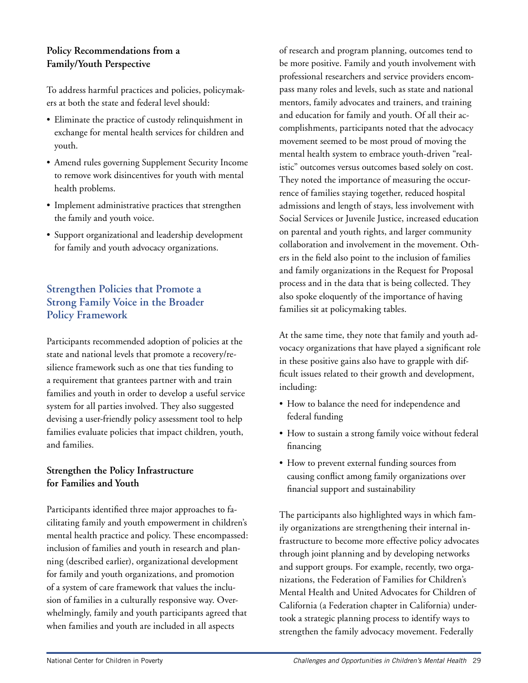## **Policy Recommendations from a Family/Youth Perspective**

To address harmful practices and policies, policymakers at both the state and federal level should:

- Eliminate the practice of custody relinquishment in exchange for mental health services for children and youth.
- Amend rules governing Supplement Security Income to remove work disincentives for youth with mental health problems.
- Implement administrative practices that strengthen the family and youth voice.
- Support organizational and leadership development for family and youth advocacy organizations.

## **Strengthen Policies that Promote a Strong Family Voice in the Broader Policy Framework**

Participants recommended adoption of policies at the state and national levels that promote a recovery/resilience framework such as one that ties funding to a requirement that grantees partner with and train families and youth in order to develop a useful service system for all parties involved. They also suggested devising a user-friendly policy assessment tool to help families evaluate policies that impact children, youth, and families.

## **Strengthen the Policy Infrastructure for Families and Youth**

Participants identified three major approaches to facilitating family and youth empowerment in children's mental health practice and policy. These encompassed: inclusion of families and youth in research and planning (described earlier), organizational development for family and youth organizations, and promotion of a system of care framework that values the inclusion of families in a culturally responsive way. Overwhelmingly, family and youth participants agreed that when families and youth are included in all aspects

of research and program planning, outcomes tend to be more positive. Family and youth involvement with professional researchers and service providers encompass many roles and levels, such as state and national mentors, family advocates and trainers, and training and education for family and youth. Of all their accomplishments, participants noted that the advocacy movement seemed to be most proud of moving the mental health system to embrace youth-driven "realistic" outcomes versus outcomes based solely on cost. They noted the importance of measuring the occurrence of families staying together, reduced hospital admissions and length of stays, less involvement with Social Services or Juvenile Justice, increased education on parental and youth rights, and larger community collaboration and involvement in the movement. Others in the field also point to the inclusion of families and family organizations in the Request for Proposal process and in the data that is being collected. They also spoke eloquently of the importance of having families sit at policymaking tables.

At the same time, they note that family and youth advocacy organizations that have played a significant role in these positive gains also have to grapple with difficult issues related to their growth and development, including:

- How to balance the need for independence and federal funding
- How to sustain a strong family voice without federal financing
- How to prevent external funding sources from causing conflict among family organizations over financial support and sustainability

The participants also highlighted ways in which family organizations are strengthening their internal infrastructure to become more effective policy advocates through joint planning and by developing networks and support groups. For example, recently, two organizations, the Federation of Families for Children's Mental Health and United Advocates for Children of California (a Federation chapter in California) undertook a strategic planning process to identify ways to strengthen the family advocacy movement. Federally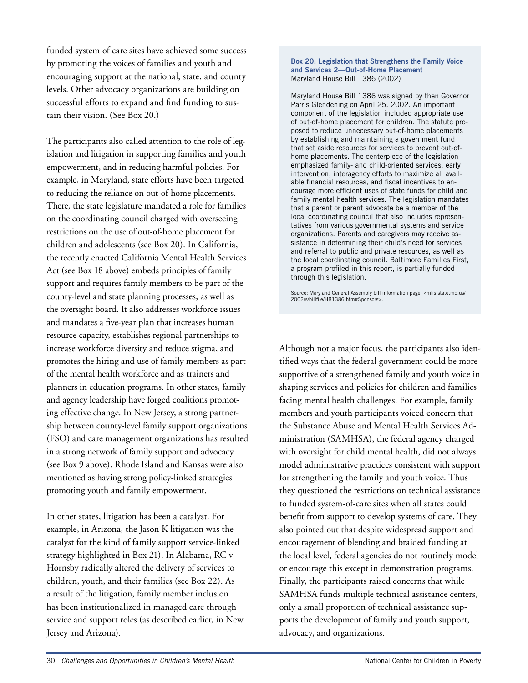funded system of care sites have achieved some success by promoting the voices of families and youth and encouraging support at the national, state, and county levels. Other advocacy organizations are building on successful efforts to expand and find funding to sustain their vision. (See Box 20.)

The participants also called attention to the role of legislation and litigation in supporting families and youth empowerment, and in reducing harmful policies. For example, in Maryland, state efforts have been targeted to reducing the reliance on out-of-home placements. There, the state legislature mandated a role for families on the coordinating council charged with overseeing restrictions on the use of out-of-home placement for children and adolescents (see Box 20). In California, the recently enacted California Mental Health Services Act (see Box 18 above) embeds principles of family support and requires family members to be part of the county-level and state planning processes, as well as the oversight board. It also addresses workforce issues and mandates a five-year plan that increases human resource capacity, establishes regional partnerships to increase workforce diversity and reduce stigma, and promotes the hiring and use of family members as part of the mental health workforce and as trainers and planners in education programs. In other states, family and agency leadership have forged coalitions promoting effective change. In New Jersey, a strong partnership between county-level family support organizations (FSO) and care management organizations has resulted in a strong network of family support and advocacy (see Box 9 above). Rhode Island and Kansas were also mentioned as having strong policy-linked strategies promoting youth and family empowerment.

In other states, litigation has been a catalyst. For example, in Arizona, the Jason K litigation was the catalyst for the kind of family support service-linked strategy highlighted in Box 21). In Alabama, RC v Hornsby radically altered the delivery of services to children, youth, and their families (see Box 22). As a result of the litigation, family member inclusion has been institutionalized in managed care through service and support roles (as described earlier, in New Jersey and Arizona).

#### **Box 20: Legislation that Strengthens the Family Voice and Services 2—Out-of-Home Placement** Maryland House Bill 1386 (2002)

Maryland House Bill 1386 was signed by then Governor Parris Glendening on April 25, 2002. An important component of the legislation included appropriate use of out-of-home placement for children. The statute proposed to reduce unnecessary out-of-home placements by establishing and maintaining a government fund that set aside resources for services to prevent out-ofhome placements. The centerpiece of the legislation emphasized family- and child-oriented services, early intervention, interagency efforts to maximize all available financial resources, and fiscal incentives to encourage more efficient uses of state funds for child and family mental health services. The legislation mandates that a parent or parent advocate be a member of the local coordinating council that also includes representatives from various governmental systems and service organizations. Parents and caregivers may receive assistance in determining their child's need for services and referral to public and private resources, as well as the local coordinating council. Baltimore Families First, a program profiled in this report, is partially funded through this legislation.

Source: Maryland General Assembly bill information page: <mlis.state.md.us/ 2002rs/billfile/HB1386.htm#Sponsors>.

Although not a major focus, the participants also identified ways that the federal government could be more supportive of a strengthened family and youth voice in shaping services and policies for children and families facing mental health challenges. For example, family members and youth participants voiced concern that the Substance Abuse and Mental Health Services Administration (SAMHSA), the federal agency charged with oversight for child mental health, did not always model administrative practices consistent with support for strengthening the family and youth voice. Thus they questioned the restrictions on technical assistance to funded system-of-care sites when all states could benefit from support to develop systems of care. They also pointed out that despite widespread support and encouragement of blending and braided funding at the local level, federal agencies do not routinely model or encourage this except in demonstration programs. Finally, the participants raised concerns that while SAMHSA funds multiple technical assistance centers, only a small proportion of technical assistance supports the development of family and youth support, advocacy, and organizations.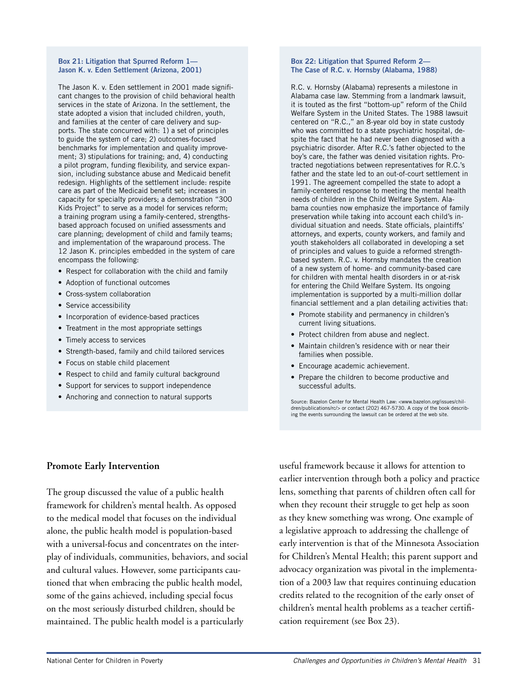#### **Box 21: Litigation that Spurred Reform 1— Jason K. v. Eden Settlement (Arizona, 2001)**

The Jason K. v. Eden settlement in 2001 made significant changes to the provision of child behavioral health services in the state of Arizona. In the settlement, the state adopted a vision that included children, youth, and families at the center of care delivery and supports. The state concurred with: 1) a set of principles to guide the system of care; 2) outcomes-focused benchmarks for implementation and quality improvement; 3) stipulations for training; and, 4) conducting a pilot program, funding flexibility, and service expansion, including substance abuse and Medicaid benefit redesign. Highlights of the settlement include: respite care as part of the Medicaid benefit set; increases in capacity for specialty providers; a demonstration "300 Kids Project" to serve as a model for services reform; a training program using a family-centered, strengthsbased approach focused on unified assessments and care planning; development of child and family teams; and implementation of the wraparound process. The 12 Jason K. principles embedded in the system of care encompass the following:

- Respect for collaboration with the child and family
- Adoption of functional outcomes
- Cross-system collaboration
- Service accessibility
- Incorporation of evidence-based practices
- Treatment in the most appropriate settings
- Timely access to services
- Strength-based, family and child tailored services
- Focus on stable child placement
- Respect to child and family cultural background
- Support for services to support independence
- Anchoring and connection to natural supports

#### **Box 22: Litigation that Spurred Reform 2— The Case of R.C. v. Hornsby (Alabama, 1988)**

R.C. v. Hornsby (Alabama) represents a milestone in Alabama case law. Stemming from a landmark lawsuit, it is touted as the first "bottom-up" reform of the Child Welfare System in the United States. The 1988 lawsuit centered on "R.C.," an 8-year old boy in state custody who was committed to a state psychiatric hospital, despite the fact that he had never been diagnosed with a psychiatric disorder. After R.C.'s father objected to the boy's care, the father was denied visitation rights. Protracted negotiations between representatives for R.C.'s father and the state led to an out-of-court settlement in 1991. The agreement compelled the state to adopt a family-centered response to meeting the mental health needs of children in the Child Welfare System. Alabama counties now emphasize the importance of family preservation while taking into account each child's individual situation and needs. State officials, plaintiffs' attorneys, and experts, county workers, and family and youth stakeholders all collaborated in developing a set of principles and values to guide a reformed strengthbased system. R.C. v. Hornsby mandates the creation of a new system of home- and community-based care for children with mental health disorders in or at-risk for entering the Child Welfare System. Its ongoing implementation is supported by a multi-million dollar financial settlement and a plan detailing activities that:

- Promote stability and permanency in children's current living situations.
- Protect children from abuse and neglect.
- Maintain children's residence with or near their families when possible.
- Encourage academic achievement.
- Prepare the children to become productive and successful adults.

Source: Bazelon Center for Mental Health Law: <www.bazelon.org/issues/chil-dren/publications/rc/> or contact (202) 467-5730. A copy of the book describing the events surrounding the lawsuit can be ordered at the web site.

#### **Promote Early Intervention**

The group discussed the value of a public health framework for children's mental health. As opposed to the medical model that focuses on the individual alone, the public health model is population-based with a universal-focus and concentrates on the interplay of individuals, communities, behaviors, and social and cultural values. However, some participants cautioned that when embracing the public health model, some of the gains achieved, including special focus on the most seriously disturbed children, should be maintained. The public health model is a particularly

useful framework because it allows for attention to earlier intervention through both a policy and practice lens, something that parents of children often call for when they recount their struggle to get help as soon as they knew something was wrong. One example of a legislative approach to addressing the challenge of early intervention is that of the Minnesota Association for Children's Mental Health; this parent support and advocacy organization was pivotal in the implementation of a 2003 law that requires continuing education credits related to the recognition of the early onset of children's mental health problems as a teacher certification requirement (see Box 23).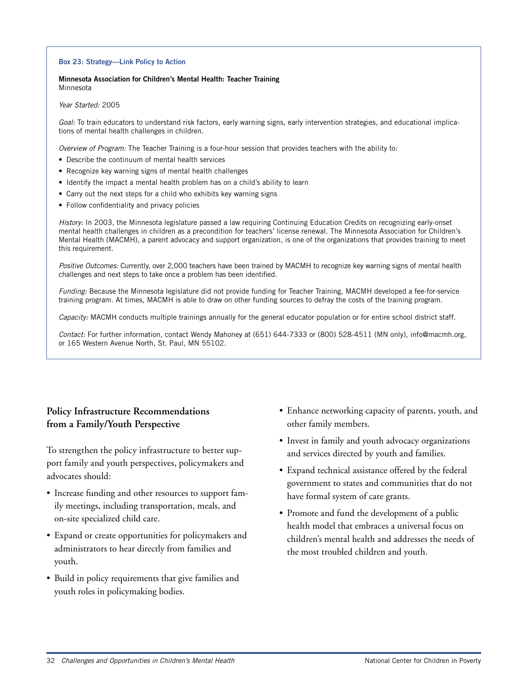#### **Box 23: Strategy—Link Policy to Action**

**Minnesota Association for Children's Mental Health: Teacher Training** Minnesota

Year Started: 2005

Goal: To train educators to understand risk factors, early warning signs, early intervention strategies, and educational implications of mental health challenges in children.

Overview of Program: The Teacher Training is a four-hour session that provides teachers with the ability to:

- Describe the continuum of mental health services
- Recognize key warning signs of mental health challenges
- Identify the impact a mental health problem has on a child's ability to learn
- Carry out the next steps for a child who exhibits key warning signs
- Follow confidentiality and privacy policies

History: In 2003, the Minnesota legislature passed a law requiring Continuing Education Credits on recognizing early-onset mental health challenges in children as a precondition for teachers' license renewal. The Minnesota Association for Children's Mental Health (MACMH), a parent advocacy and support organization, is one of the organizations that provides training to meet this requirement.

Positive Outcomes: Currently, over 2,000 teachers have been trained by MACMH to recognize key warning signs of mental health challenges and next steps to take once a problem has been identified.

Funding: Because the Minnesota legislature did not provide funding for Teacher Training, MACMH developed a fee-for-service training program. At times, MACMH is able to draw on other funding sources to defray the costs of the training program.

Capacity: MACMH conducts multiple trainings annually for the general educator population or for entire school district staff.

Contact: For further information, contact Wendy Mahoney at (651) 644-7333 or (800) 528-4511 (MN only), info@macmh.org, or 165 Western Avenue North, St. Paul, MN 55102.

## **Policy Infrastructure Recommendations from a Family/Youth Perspective**

To strengthen the policy infrastructure to better support family and youth perspectives, policymakers and advocates should:

- Increase funding and other resources to support family meetings, including transportation, meals, and on-site specialized child care.
- Expand or create opportunities for policymakers and administrators to hear directly from families and youth.
- Build in policy requirements that give families and youth roles in policymaking bodies.
- Enhance networking capacity of parents, youth, and other family members.
- Invest in family and youth advocacy organizations and services directed by youth and families.
- Expand technical assistance offered by the federal government to states and communities that do not have formal system of care grants.
- Promote and fund the development of a public health model that embraces a universal focus on children's mental health and addresses the needs of the most troubled children and youth.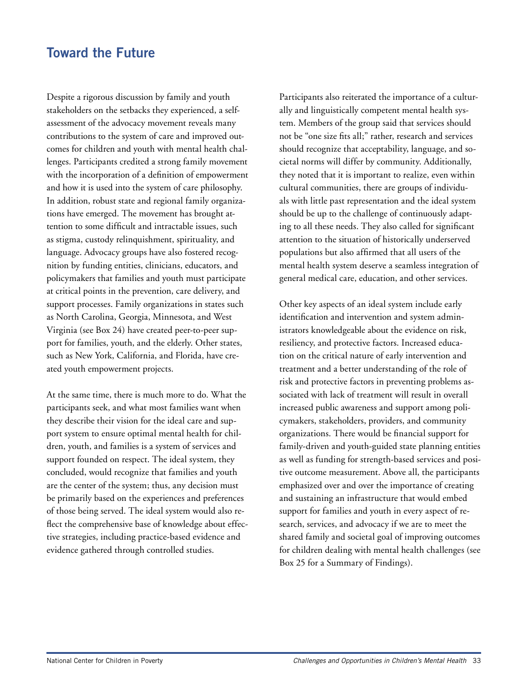## **Toward the Future**

Despite a rigorous discussion by family and youth stakeholders on the setbacks they experienced, a selfassessment of the advocacy movement reveals many contributions to the system of care and improved outcomes for children and youth with mental health challenges. Participants credited a strong family movement with the incorporation of a definition of empowerment and how it is used into the system of care philosophy. In addition, robust state and regional family organizations have emerged. The movement has brought attention to some difficult and intractable issues, such as stigma, custody relinquishment, spirituality, and language. Advocacy groups have also fostered recognition by funding entities, clinicians, educators, and policymakers that families and youth must participate at critical points in the prevention, care delivery, and support processes. Family organizations in states such as North Carolina, Georgia, Minnesota, and West Virginia (see Box 24) have created peer-to-peer support for families, youth, and the elderly. Other states, such as New York, California, and Florida, have created youth empowerment projects.

At the same time, there is much more to do. What the participants seek, and what most families want when they describe their vision for the ideal care and support system to ensure optimal mental health for children, youth, and families is a system of services and support founded on respect. The ideal system, they concluded, would recognize that families and youth are the center of the system; thus, any decision must be primarily based on the experiences and preferences of those being served. The ideal system would also reflect the comprehensive base of knowledge about effective strategies, including practice-based evidence and evidence gathered through controlled studies.

Participants also reiterated the importance of a culturally and linguistically competent mental health system. Members of the group said that services should not be "one size fits all;" rather, research and services should recognize that acceptability, language, and societal norms will differ by community. Additionally, they noted that it is important to realize, even within cultural communities, there are groups of individuals with little past representation and the ideal system should be up to the challenge of continuously adapting to all these needs. They also called for significant attention to the situation of historically underserved populations but also affirmed that all users of the mental health system deserve a seamless integration of general medical care, education, and other services.

Other key aspects of an ideal system include early identification and intervention and system administrators knowledgeable about the evidence on risk, resiliency, and protective factors. Increased education on the critical nature of early intervention and treatment and a better understanding of the role of risk and protective factors in preventing problems associated with lack of treatment will result in overall increased public awareness and support among policymakers, stakeholders, providers, and community organizations. There would be financial support for family-driven and youth-guided state planning entities as well as funding for strength-based services and positive outcome measurement. Above all, the participants emphasized over and over the importance of creating and sustaining an infrastructure that would embed support for families and youth in every aspect of research, services, and advocacy if we are to meet the shared family and societal goal of improving outcomes for children dealing with mental health challenges (see Box 25 for a Summary of Findings).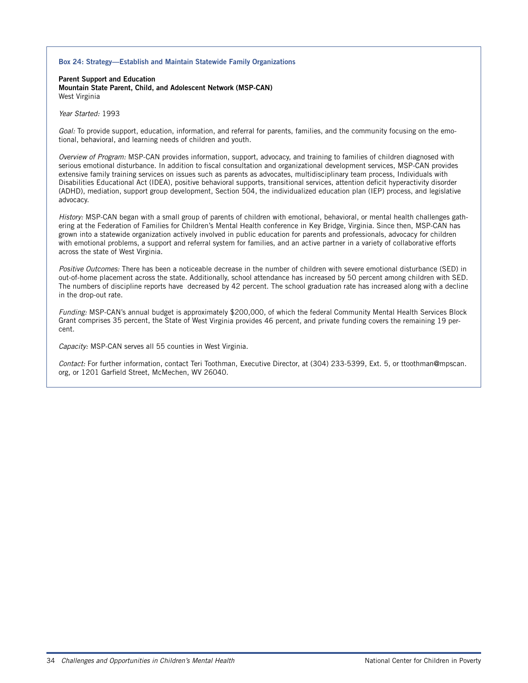#### **Box 24: Strategy—Establish and Maintain Statewide Family Organizations**

**Parent Support and Education Mountain State Parent, Child, and Adolescent Network (MSP-CAN)** West Virginia

Year Started: 1993

Goal: To provide support, education, information, and referral for parents, families, and the community focusing on the emotional, behavioral, and learning needs of children and youth.

Overview of Program: MSP-CAN provides information, support, advocacy, and training to families of children diagnosed with serious emotional disturbance. In addition to fiscal consultation and organizational development services, MSP-CAN provides extensive family training services on issues such as parents as advocates, multidisciplinary team process, Individuals with Disabilities Educational Act (IDEA), positive behavioral supports, transitional services, attention deficit hyperactivity disorder (ADHD), mediation, support group development, Section 504, the individualized education plan (IEP) process, and legislative advocacy.

History: MSP-CAN began with a small group of parents of children with emotional, behavioral, or mental health challenges gathering at the Federation of Families for Children's Mental Health conference in Key Bridge, Virginia. Since then, MSP-CAN has grown into a statewide organization actively involved in public education for parents and professionals, advocacy for children with emotional problems, a support and referral system for families, and an active partner in a variety of collaborative efforts across the state of West Virginia.

Positive Outcomes: There has been a noticeable decrease in the number of children with severe emotional disturbance (SED) in out-of-home placement across the state. Additionally, school attendance has increased by 50 percent among children with SED. The numbers of discipline reports have decreased by 42 percent. The school graduation rate has increased along with a decline in the drop-out rate.

Funding: MSP-CAN's annual budget is approximately \$200,000, of which the federal Community Mental Health Services Block Grant comprises 35 percent, the State of West Virginia provides 46 percent, and private funding covers the remaining 19 percent.

Capacity: MSP-CAN serves all 55 counties in West Virginia.

Contact: For further information, contact Teri Toothman, Executive Director, at (304) 233-5399, Ext. 5, or ttoothman@mpscan. org, or 1201 Garfield Street, McMechen, WV 26040.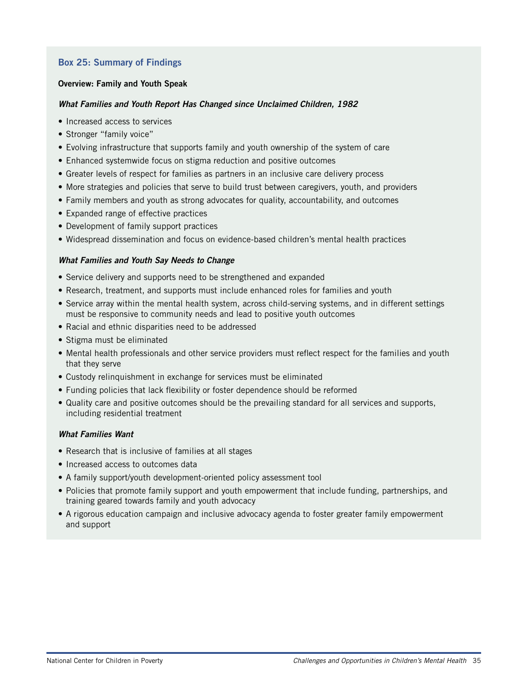## **Box 25: Summary of Findings**

#### **Overview: Family and Youth Speak**

### **What Families and Youth Report Has Changed since Unclaimed Children, 1982**

- Increased access to services
- Stronger "family voice"
- Evolving infrastructure that supports family and youth ownership of the system of care
- Enhanced systemwide focus on stigma reduction and positive outcomes
- Greater levels of respect for families as partners in an inclusive care delivery process
- More strategies and policies that serve to build trust between caregivers, youth, and providers
- Family members and youth as strong advocates for quality, accountability, and outcomes
- Expanded range of effective practices
- Development of family support practices
- Widespread dissemination and focus on evidence-based children's mental health practices

### **What Families and Youth Say Needs to Change**

- Service delivery and supports need to be strengthened and expanded
- Research, treatment, and supports must include enhanced roles for families and youth
- Service array within the mental health system, across child-serving systems, and in different settings must be responsive to community needs and lead to positive youth outcomes
- Racial and ethnic disparities need to be addressed
- Stigma must be eliminated
- Mental health professionals and other service providers must reflect respect for the families and youth that they serve
- Custody relinquishment in exchange for services must be eliminated
- Funding policies that lack flexibility or foster dependence should be reformed
- Quality care and positive outcomes should be the prevailing standard for all services and supports, including residential treatment

### **What Families Want**

- Research that is inclusive of families at all stages
- Increased access to outcomes data
- A family support/youth development-oriented policy assessment tool
- Policies that promote family support and youth empowerment that include funding, partnerships, and training geared towards family and youth advocacy
- A rigorous education campaign and inclusive advocacy agenda to foster greater family empowerment and support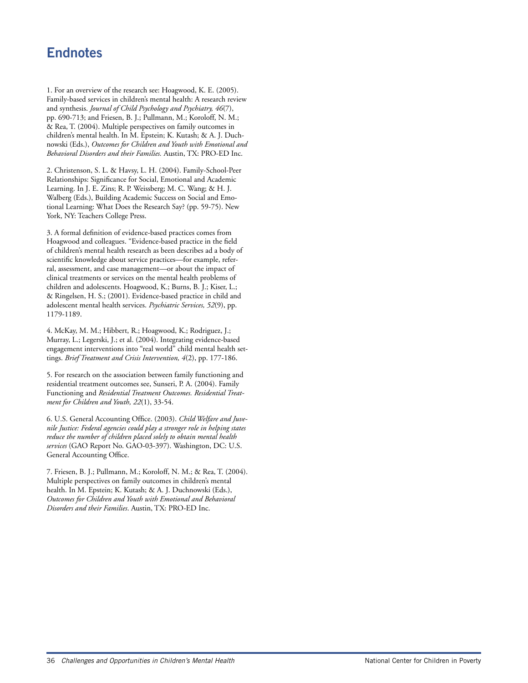## **Endnotes**

1. For an overview of the research see: Hoagwood, K. E. (2005). Family-based services in children's mental health: A research review and synthesis. *Journal of Child Psychology and Psychiatry, 46*(7), pp. 690-713; and Friesen, B. J.; Pullmann, M.; Koroloff, N. M.; & Rea, T. (2004). Multiple perspectives on family outcomes in children's mental health. In M. Epstein; K. Kutash; & A. J. Duchnowski (Eds.), *Outcomes for Children and Youth with Emotional and Behavioral Disorders and their Families.* Austin, TX: PRO-ED Inc.

2. Christenson, S. L. & Havsy, L. H. (2004). Family-School-Peer Relationships: Significance for Social, Emotional and Academic Learning. In J. E. Zins; R. P. Weissberg; M. C. Wang; & H. J. Walberg (Eds.), Building Academic Success on Social and Emotional Learning: What Does the Research Say? (pp. 59-75). New York, NY: Teachers College Press.

3. A formal definition of evidence-based practices comes from Hoagwood and colleagues. "Evidence-based practice in the field of children's mental health research as been describes ad a body of scientific knowledge about service practices—for example, referral, assessment, and case management—or about the impact of clinical treatments or services on the mental health problems of children and adolescents. Hoagwood, K.; Burns, B. J.; Kiser, L.; & Ringelsen, H. S.; (2001). Evidence-based practice in child and adolescent mental health services. *Psychiatric Services, 52*(9), pp. 1179-1189.

4. McKay, M. M.; Hibbert, R.; Hoagwood, K.; Rodriguez, J.; Murray, L.; Legerski, J.; et al. (2004). Integrating evidence-based engagement interventions into "real world" child mental health settings. *Brief Treatment and Crisis Intervention, 4*(2), pp. 177-186.

5. For research on the association between family functioning and residential treatment outcomes see, Sunseri, P. A. (2004). Family Functioning and *Residential Treatment Outcomes. Residential Treatment for Children and Youth, 22*(1), 33-54.

6. U.S. General Accounting Office. (2003). *Child Welfare and Juvenile Justice: Federal agencies could play a stronger role in helping states reduce the number of children placed solely to obtain mental health services* (GAO Report No. GAO-03-397). Washington, DC: U.S. General Accounting Office.

7. Friesen, B. J.; Pullmann, M.; Koroloff, N. M.; & Rea, T. (2004). Multiple perspectives on family outcomes in children's mental health. In M. Epstein; K. Kutash; & A. J. Duchnowski (Eds.), *Outcomes for Children and Youth with Emotional and Behavioral Disorders and their Families*. Austin, TX: PRO-ED Inc.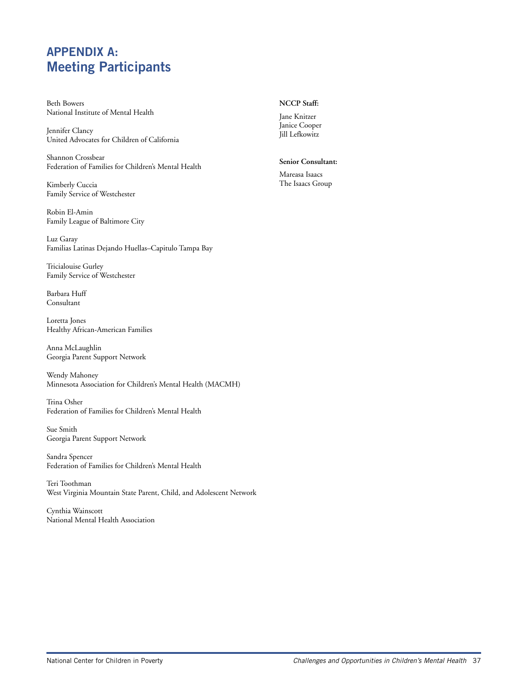## **APPENDIX A: Meeting Participants**

Beth Bowers National Institute of Mental Health

Jennifer Clancy United Advocates for Children of California

Shannon Crossbear Federation of Families for Children's Mental Health

Kimberly Cuccia Family Service of Westchester

Robin El-Amin Family League of Baltimore City

Luz Garay Familias Latinas Dejando Huellas–Capitulo Tampa Bay

Tricialouise Gurley Family Service of Westchester

Barbara Huff Consultant

Loretta Jones Healthy African-American Families

Anna McLaughlin Georgia Parent Support Network

Wendy Mahoney Minnesota Association for Children's Mental Health (MACMH)

Trina Osher Federation of Families for Children's Mental Health

Sue Smith Georgia Parent Support Network

Sandra Spencer Federation of Families for Children's Mental Health

Teri Toothman West Virginia Mountain State Parent, Child, and Adolescent Network

Cynthia Wainscott National Mental Health Association

#### **NCCP Staff:**

Jane Knitzer Janice Cooper Jill Lefkowitz

**Senior Consultant:**

Mareasa Isaacs The Isaacs Group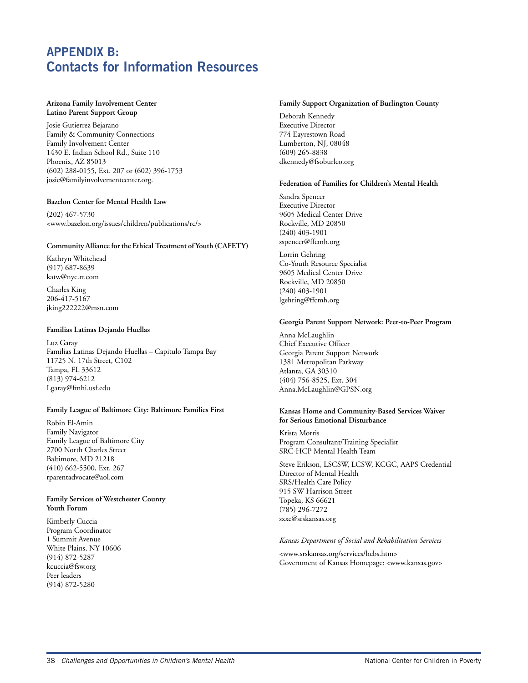## **APPENDIX B: Contacts for Information Resources**

#### **Arizona Family Involvement Center Latino Parent Support Group**

Josie Gutierrez Bejarano Family & Community Connections Family Involvement Center 1430 E. Indian School Rd., Suite 110 Phoenix, AZ 85013 (602) 288-0155, Ext. 207 or (602) 396-1753 josie@familyinvolvementcenter.org.

#### **Bazelon Center for Mental Health Law**

(202) 467-5730 <www.bazelon.org/issues/children/publications/rc/>

#### **Community Alliance for the Ethical Treatment of Youth (CAFETY)**

Kathryn Whitehead (917) 687-8639 katw@nyc.rr.com

Charles King 206-417-5167 jking222222@msn.com

#### **Familias Latinas Dejando Huellas**

Luz Garay Familias Latinas Dejando Huellas – Capitulo Tampa Bay 11725 N. 17th Street, C102 Tampa, FL 33612 (813) 974-6212 Lgaray@fmhi.usf.edu

#### **Family League of Baltimore City: Baltimore Families First**

Robin El-Amin Family Navigator Family League of Baltimore City 2700 North Charles Street Baltimore, MD 21218 (410) 662-5500, Ext. 267 rparentadvocate@aol.com

#### **Family Services of Westchester County Youth Forum**

Kimberly Cuccia Program Coordinator 1 Summit Avenue White Plains, NY 10606 (914) 872-5287 kcuccia@fsw.org Peer leaders (914) 872-5280

#### **Family Support Organization of Burlington County**

Deborah Kennedy Executive Director 774 Eayrestown Road Lumberton, NJ, 08048 (609) 265-8838 dkennedy@fsoburlco.org

#### **Federation of Families for Children's Mental Health**

Sandra Spencer Executive Director 9605 Medical Center Drive Rockville, MD 20850 (240) 403-1901 sspencer@ffcmh.org

Lorrin Gehring Co-Youth Resource Specialist 9605 Medical Center Drive Rockville, MD 20850 (240) 403-1901 lgehring@ffcmh.org

#### **Georgia Parent Support Network: Peer-to-Peer Program**

Anna McLaughlin Chief Executive Officer Georgia Parent Support Network 1381 Metropolitan Parkway Atlanta, GA 30310 (404) 756-8525, Ext. 304 Anna.McLaughlin@GPSN.org

#### **Kansas Home and Community-Based Services Waiver for Serious Emotional Disturbance**

Krista Morris Program Consultant/Training Specialist SRC-HCP Mental Health Team

Steve Erikson, LSCSW, LCSW, KCGC, AAPS Credential Director of Mental Health SRS/Health Care Policy 915 SW Harrison Street Topeka, KS 66621 (785) 296-7272 sxxe@srskansas.org

#### *Kansas Department of Social and Rehabilitation Services*

<www.srskansas.org/services/hcbs.htm> Government of Kansas Homepage: <www.kansas.gov>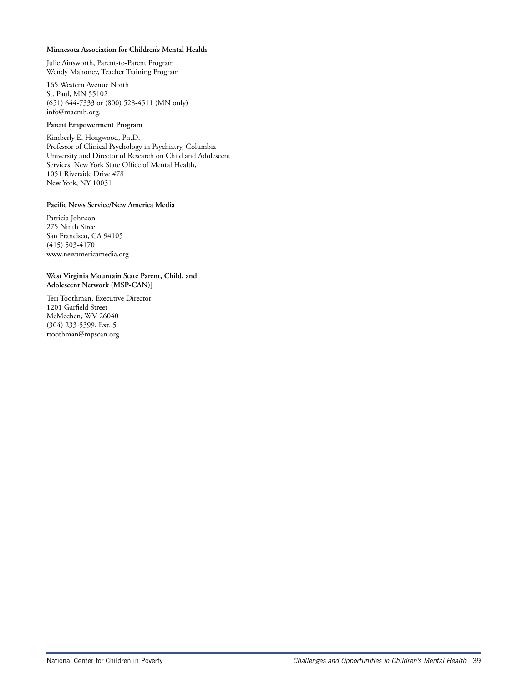#### **Minnesota Association for Children's Mental Health**

Julie Ainsworth, Parent-to-Parent Program Wendy Mahoney, Teacher Training Program

165 Western Avenue North St. Paul, MN 55102 (651) 644-7333 or (800) 528-4511 (MN only) info@macmh.org.

#### **Parent Empowerment Program**

Kimberly E. Hoagwood, Ph.D. Professor of Clinical Psychology in Psychiatry, Columbia University and Director of Research on Child and Adolescent Services, New York State Office of Mental Health, 1051 Riverside Drive #78 New York, NY 10031

#### **Pacific News Service/New America Media**

Patricia Johnson 275 Ninth Street San Francisco, CA 94105 (415) 503-4170 www.newamericamedia.org

**West Virginia Mountain State Parent, Child, and Adolescent Network (MSP-CAN)]**

Teri Toothman, Executive Director 1201 Garfield Street McMechen, WV 26040 (304) 233-5399, Ext. 5 ttoothman@mpscan.org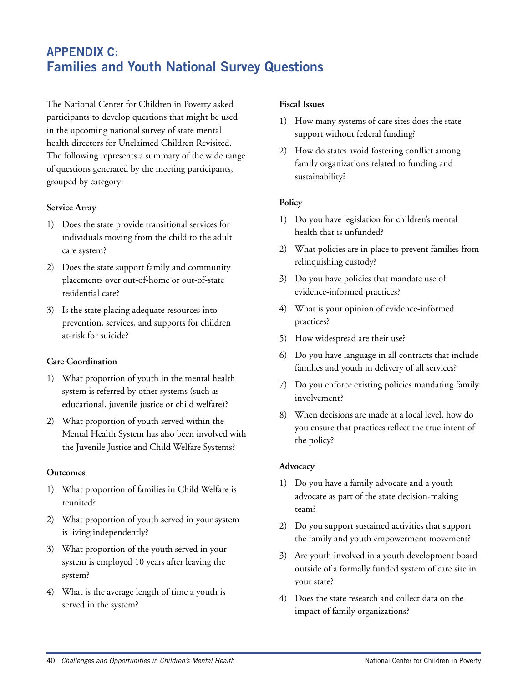## **APPENDIX C: Families and Youth National Survey Questions**

The National Center for Children in Poverty asked participants to develop questions that might be used in the upcoming national survey of state mental health directors for Unclaimed Children Revisited. The following represents a summary of the wide range of questions generated by the meeting participants, grouped by category:

## **Service Array**

- 1) Does the state provide transitional services for individuals moving from the child to the adult care system?
- 2) Does the state support family and community placements over out-of-home or out-of-state residential care?
- 3) Is the state placing adequate resources into prevention, services, and supports for children at-risk for suicide?

## **Care Coordination**

- 1) What proportion of youth in the mental health system is referred by other systems (such as educational, juvenile justice or child welfare)?
- 2) What proportion of youth served within the Mental Health System has also been involved with the Juvenile Justice and Child Welfare Systems?

### **Outcomes**

- 1) What proportion of families in Child Welfare is reunited?
- 2) What proportion of youth served in your system is living independently?
- 3) What proportion of the youth served in your system is employed 10 years after leaving the system?
- 4) What is the average length of time a youth is served in the system?

### **Fiscal Issues**

- 1) How many systems of care sites does the state support without federal funding?
- 2) How do states avoid fostering conflict among family organizations related to funding and sustainability?

## **Policy**

- 1) Do you have legislation for children's mental health that is unfunded?
- 2) What policies are in place to prevent families from relinquishing custody?
- 3) Do you have policies that mandate use of evidence-informed practices?
- 4) What is your opinion of evidence-informed practices?
- 5) How widespread are their use?
- 6) Do you have language in all contracts that include families and youth in delivery of all services?
- 7) Do you enforce existing policies mandating family involvement?
- 8) When decisions are made at a local level, how do you ensure that practices reflect the true intent of the policy?

## **Advocacy**

- 1) Do you have a family advocate and a youth advocate as part of the state decision-making team?
- 2) Do you support sustained activities that support the family and youth empowerment movement?
- 3) Are youth involved in a youth development board outside of a formally funded system of care site in your state?
- 4) Does the state research and collect data on the impact of family organizations?